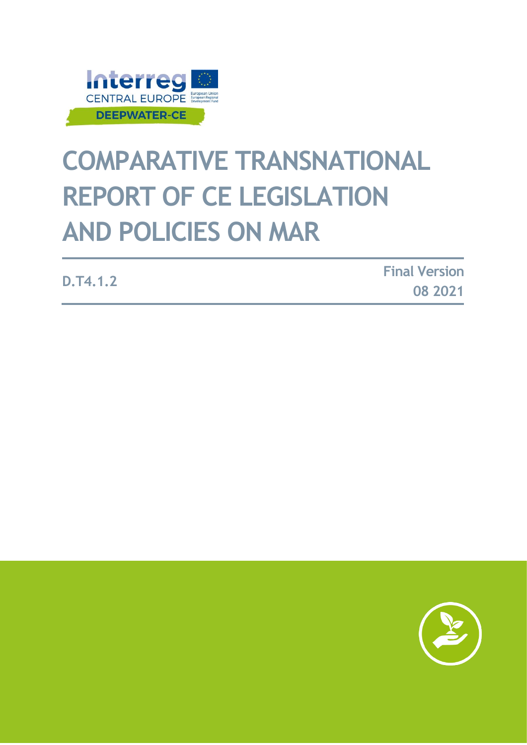

# **COMPARATIVE TRANSNATIONAL REPORT OF CE LEGISLATION AND POLICIES ON MAR**

**D.T4.1.2 Final Version 08 2021**

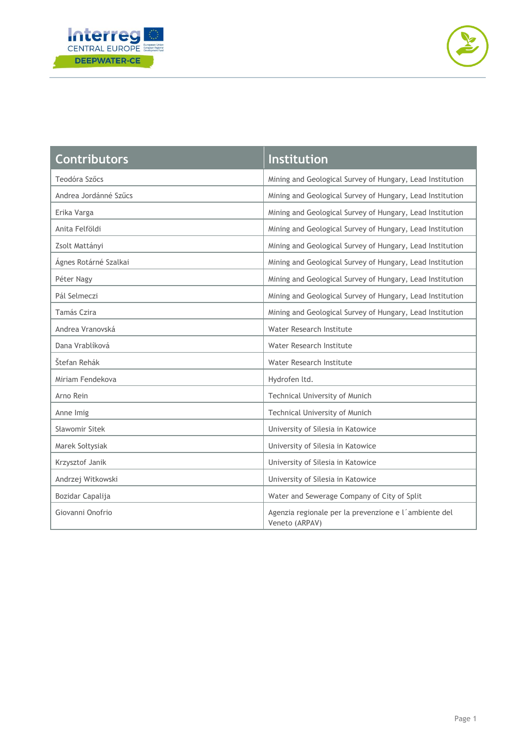



| <b>Contributors</b>   | <b>Institution</b>                                                      |
|-----------------------|-------------------------------------------------------------------------|
| Teodóra Szőcs         | Mining and Geological Survey of Hungary, Lead Institution               |
| Andrea Jordánné Szűcs | Mining and Geological Survey of Hungary, Lead Institution               |
| Erika Varga           | Mining and Geological Survey of Hungary, Lead Institution               |
| Anita Felföldi        | Mining and Geological Survey of Hungary, Lead Institution               |
| Zsolt Mattányi        | Mining and Geological Survey of Hungary, Lead Institution               |
| Ágnes Rotárné Szalkai | Mining and Geological Survey of Hungary, Lead Institution               |
| Péter Nagy            | Mining and Geological Survey of Hungary, Lead Institution               |
| Pál Selmeczi          | Mining and Geological Survey of Hungary, Lead Institution               |
| Tamás Czira           | Mining and Geological Survey of Hungary, Lead Institution               |
| Andrea Vranovská      | Water Research Institute                                                |
| Dana Vrablíková       | Water Research Institute                                                |
| Štefan Rehák          | Water Research Institute                                                |
| Miriam Fendekova      | Hydrofen ltd.                                                           |
| Arno Rein             | Technical University of Munich                                          |
| Anne Imig             | Technical University of Munich                                          |
| Sławomir Sitek        | University of Silesia in Katowice                                       |
| Marek Sołtysiak       | University of Silesia in Katowice                                       |
| Krzysztof Janik       | University of Silesia in Katowice                                       |
| Andrzej Witkowski     | University of Silesia in Katowice                                       |
| Bozidar Capalija      | Water and Sewerage Company of City of Split                             |
| Giovanni Onofrio      | Agenzia regionale per la prevenzione e l'ambiente del<br>Veneto (ARPAV) |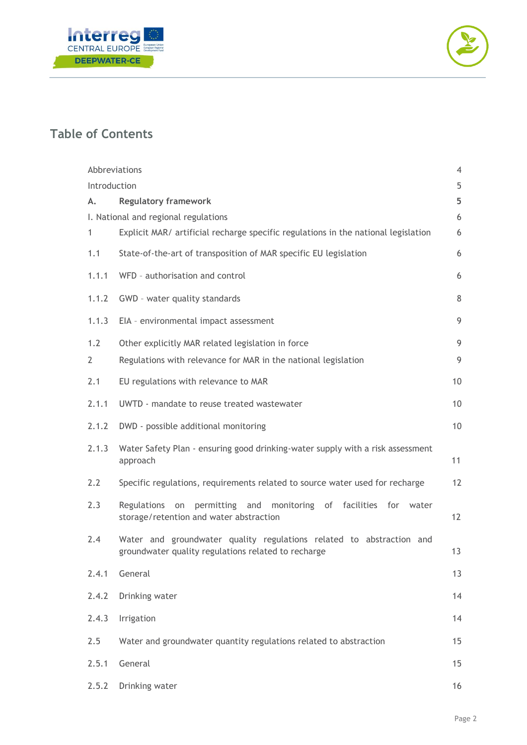



# **Table of Contents**

|                | Abbreviations                                                                                                                    | 4                 |
|----------------|----------------------------------------------------------------------------------------------------------------------------------|-------------------|
| Introduction   |                                                                                                                                  | 5                 |
| А.             | <b>Regulatory framework</b>                                                                                                      | 5                 |
|                | I. National and regional regulations                                                                                             | 6                 |
| 1              | Explicit MAR/ artificial recharge specific regulations in the national legislation                                               | 6                 |
| 1.1            | State-of-the-art of transposition of MAR specific EU legislation                                                                 | 6                 |
| 1.1.1          | WFD - authorisation and control                                                                                                  | 6                 |
| 1.1.2          | GWD - water quality standards                                                                                                    | 8                 |
| 1.1.3          | EIA - environmental impact assessment                                                                                            | 9                 |
| 1.2            | Other explicitly MAR related legislation in force                                                                                | 9                 |
| $\overline{2}$ | Regulations with relevance for MAR in the national legislation                                                                   | 9                 |
| 2.1            | EU regulations with relevance to MAR                                                                                             | 10                |
| 2.1.1          | UWTD - mandate to reuse treated wastewater                                                                                       | 10                |
| 2.1.2          | DWD - possible additional monitoring                                                                                             | 10                |
| 2.1.3          | Water Safety Plan - ensuring good drinking-water supply with a risk assessment<br>approach                                       | 11                |
| 2.2            | Specific regulations, requirements related to source water used for recharge                                                     | 12                |
| 2.3            | of facilities<br>Regulations<br>permitting<br>monitoring<br>for<br>and<br>on<br>water<br>storage/retention and water abstraction | $12 \overline{ }$ |
| 2.4            | Water and groundwater quality regulations related to abstraction and<br>groundwater quality regulations related to recharge      | 13                |
| 2.4.1          | General                                                                                                                          | 13                |
| 2.4.2          | Drinking water                                                                                                                   | 14                |
| 2.4.3          | Irrigation                                                                                                                       | 14                |
| 2.5            | Water and groundwater quantity regulations related to abstraction                                                                | 15                |
| 2.5.1          | General                                                                                                                          | 15                |
| 2.5.2          | Drinking water                                                                                                                   | 16                |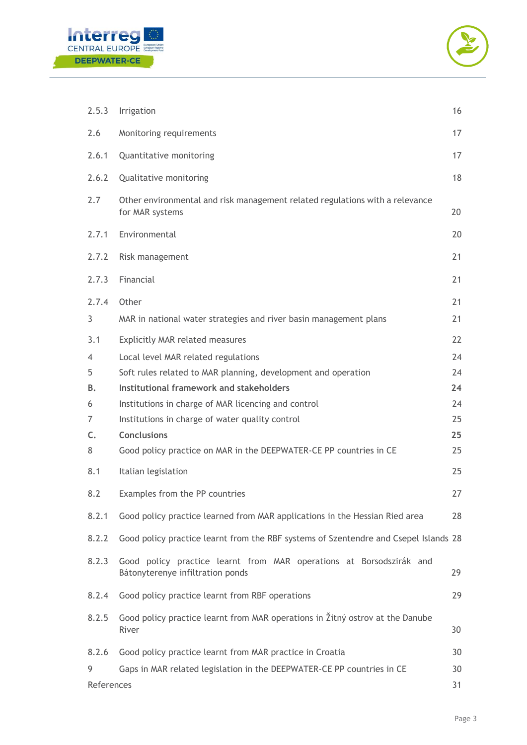



| 2.5.3      | Irrigation                                                                                              | 16       |
|------------|---------------------------------------------------------------------------------------------------------|----------|
| 2.6        | Monitoring requirements                                                                                 | 17       |
| 2.6.1      | Quantitative monitoring                                                                                 | 17       |
| 2.6.2      | Qualitative monitoring                                                                                  | 18       |
| 2.7        | Other environmental and risk management related regulations with a relevance<br>for MAR systems         | 20       |
| 2.7.1      | Environmental                                                                                           | 20       |
| 2.7.2      | Risk management                                                                                         | 21       |
| 2.7.3      | Financial                                                                                               | 21       |
| 2.7.4<br>3 | Other<br>MAR in national water strategies and river basin management plans                              | 21<br>21 |
| 3.1        | <b>Explicitly MAR related measures</b>                                                                  | 22       |
| 4          | Local level MAR related regulations                                                                     | 24       |
| 5          | Soft rules related to MAR planning, development and operation                                           | 24       |
| В.         | Institutional framework and stakeholders                                                                | 24       |
| 6          | Institutions in charge of MAR licencing and control                                                     | 24       |
| 7          | Institutions in charge of water quality control                                                         | 25       |
| C.         | <b>Conclusions</b>                                                                                      | 25       |
| 8          | Good policy practice on MAR in the DEEPWATER-CE PP countries in CE                                      | 25       |
| 8.1        | Italian legislation                                                                                     | 25       |
| 8.2        | Examples from the PP countries                                                                          | 27       |
| 8.2.1      | Good policy practice learned from MAR applications in the Hessian Ried area                             | 28       |
| 8.2.2      | Good policy practice learnt from the RBF systems of Szentendre and Csepel Islands 28                    |          |
| 8.2.3      | Good policy practice learnt from MAR operations at Borsodszirák and<br>Bátonyterenye infiltration ponds | 29       |
| 8.2.4      | Good policy practice learnt from RBF operations                                                         | 29       |
| 8.2.5      | Good policy practice learnt from MAR operations in Žitný ostrov at the Danube<br>River                  | 30       |
| 8.2.6      | Good policy practice learnt from MAR practice in Croatia                                                | 30       |
| 9          | Gaps in MAR related legislation in the DEEPWATER-CE PP countries in CE                                  | 30       |
| References |                                                                                                         | 31       |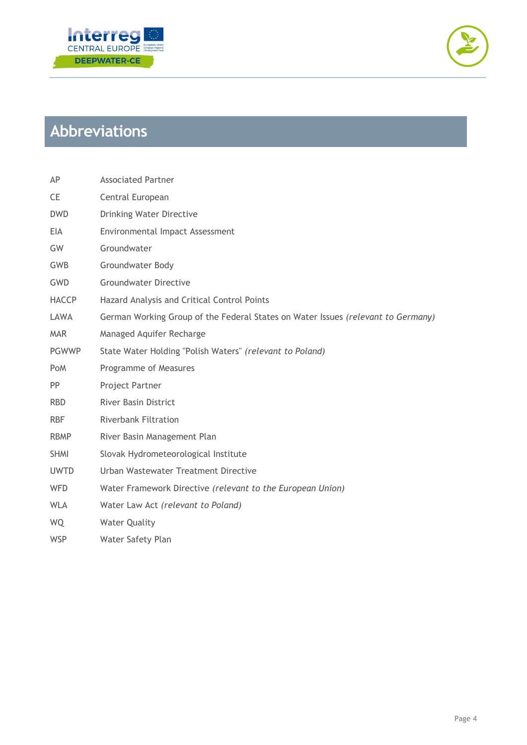



# <span id="page-4-0"></span>**Abbreviations**

| AP           | <b>Associated Partner</b>                                                        |
|--------------|----------------------------------------------------------------------------------|
| <b>CE</b>    | Central European                                                                 |
| <b>DWD</b>   | <b>Drinking Water Directive</b>                                                  |
| EIA          | Environmental Impact Assessment                                                  |
| GW           | Groundwater                                                                      |
| <b>GWB</b>   | <b>Groundwater Body</b>                                                          |
| GWD          | <b>Groundwater Directive</b>                                                     |
| <b>HACCP</b> | Hazard Analysis and Critical Control Points                                      |
| LAWA         | German Working Group of the Federal States on Water Issues (relevant to Germany) |
| <b>MAR</b>   | Managed Aquifer Recharge                                                         |
| <b>PGWWP</b> | State Water Holding "Polish Waters" (relevant to Poland)                         |
| <b>PoM</b>   | Programme of Measures                                                            |
| <b>PP</b>    | Project Partner                                                                  |
| <b>RBD</b>   | <b>River Basin District</b>                                                      |
| <b>RBF</b>   | <b>Riverbank Filtration</b>                                                      |
| <b>RBMP</b>  | River Basin Management Plan                                                      |
| <b>SHMI</b>  | Slovak Hydrometeorological Institute                                             |
| <b>UWTD</b>  | Urban Wastewater Treatment Directive                                             |
| <b>WFD</b>   | Water Framework Directive (relevant to the European Union)                       |
| <b>WLA</b>   | Water Law Act (relevant to Poland)                                               |
| WQ           | <b>Water Quality</b>                                                             |
|              |                                                                                  |

WSP Water Safety Plan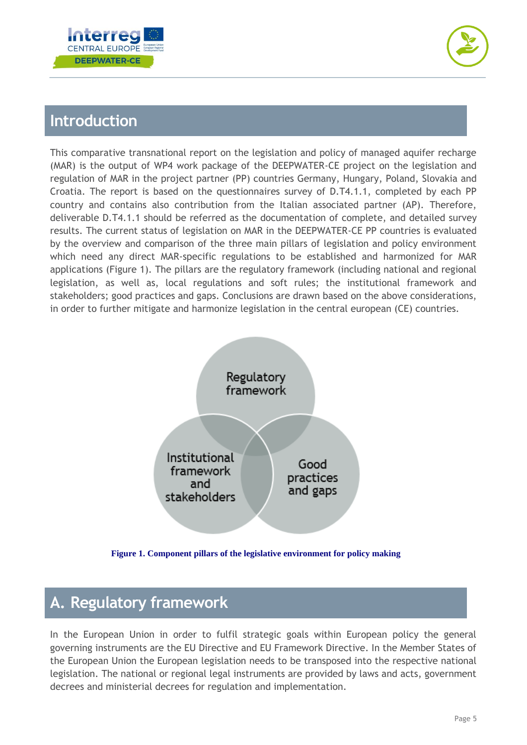



# <span id="page-5-0"></span>**Introduction**

This comparative transnational report on the legislation and policy of managed aquifer recharge (MAR) is the output of WP4 work package of the DEEPWATER-CE project on the legislation and regulation of MAR in the project partner (PP) countries Germany, Hungary, Poland, Slovakia and Croatia. The report is based on the questionnaires survey of D.T4.1.1, completed by each PP country and contains also contribution from the Italian associated partner (AP). Therefore, deliverable D.T4.1.1 should be referred as the documentation of complete, and detailed survey results. The current status of legislation on MAR in the DEEPWATER-CE PP countries is evaluated by the overview and comparison of the three main pillars of legislation and policy environment which need any direct MAR-specific regulations to be established and harmonized for MAR applications [\(Figure 1\)](#page-5-2). The pillars are the regulatory framework (including national and regional legislation, as well as, local regulations and soft rules; the institutional framework and stakeholders; good practices and gaps. Conclusions are drawn based on the above considerations, in order to further mitigate and harmonize legislation in the central european (CE) countries.



**Figure 1. Component pillars of the legislative environment for policy making**

# <span id="page-5-2"></span><span id="page-5-1"></span>**A. Regulatory framework**

In the European Union in order to fulfil strategic goals within European policy the general governing instruments are the EU Directive and EU Framework Directive. In the Member States of the European Union the European legislation needs to be transposed into the respective national legislation. The national or regional legal instruments are provided by laws and acts, government decrees and ministerial decrees for regulation and implementation.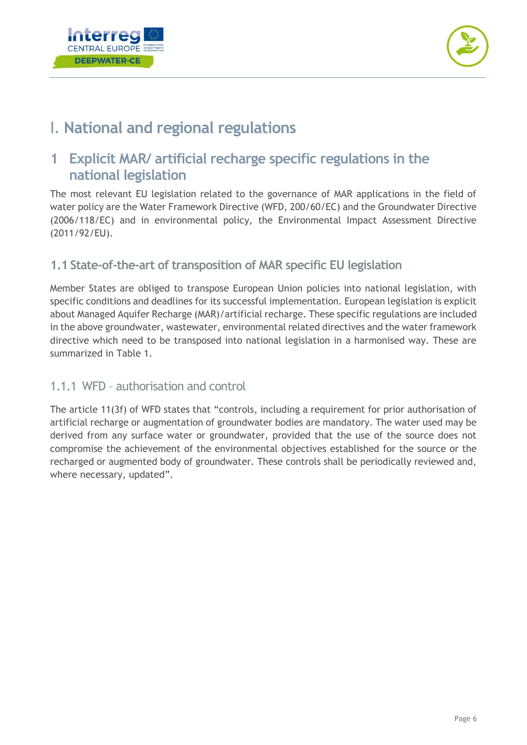



# <span id="page-6-0"></span>I. **National and regional regulations**

## <span id="page-6-1"></span>**1 Explicit MAR/ artificial recharge specific regulations in the national legislation**

The most relevant EU legislation related to the governance of MAR applications in the field of water policy are the Water Framework Directive (WFD, 200/60/EC) and the Groundwater Directive (2006/118/EC) and in environmental policy, the Environmental Impact Assessment Directive (2011/92/EU).

#### <span id="page-6-2"></span>**1.1 State-of-the-art of transposition of MAR specific EU legislation**

Member States are obliged to transpose European Union policies into national legislation, with specific conditions and deadlines for its successful implementation. European legislation is explicit about Managed Aquifer Recharge (MAR)/artificial recharge. These specific regulations are included in the above groundwater, wastewater, environmental related directives and the water framework directive which need to be transposed into national legislation in a harmonised way. These are summarized in [Table 1.](#page-7-0)

#### <span id="page-6-3"></span>1.1.1 WFD – authorisation and control

The article 11(3f) of WFD states that "controls, including a requirement for prior authorisation of artificial recharge or augmentation of groundwater bodies are mandatory. The water used may be derived from any surface water or groundwater, provided that the use of the source does not compromise the achievement of the environmental objectives established for the source or the recharged or augmented body of groundwater. These controls shall be periodically reviewed and, where necessary, updated".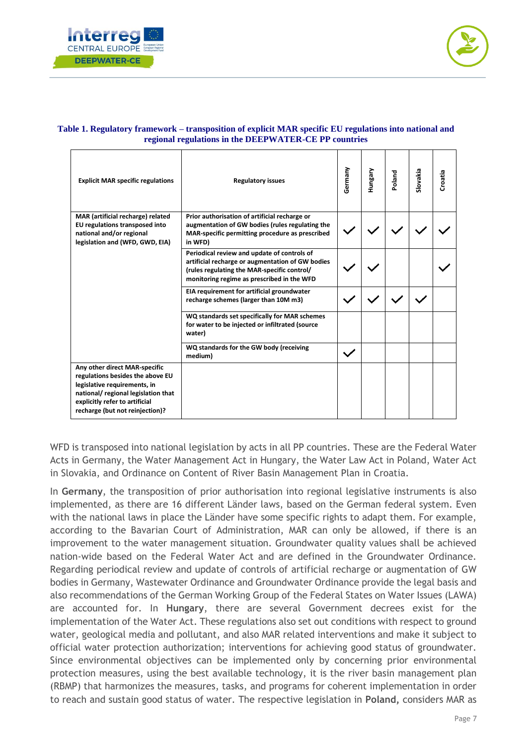



| <b>Explicit MAR specific regulations</b>                                                                                                                                                                      | <b>Regulatory issues</b>                                                                                                                                                                     | Germany | Hungary | Poland | Slovakia | Croatia |
|---------------------------------------------------------------------------------------------------------------------------------------------------------------------------------------------------------------|----------------------------------------------------------------------------------------------------------------------------------------------------------------------------------------------|---------|---------|--------|----------|---------|
| MAR (artificial recharge) related<br>EU regulations transposed into<br>national and/or regional<br>legislation and (WFD, GWD, EIA)                                                                            | Prior authorisation of artificial recharge or<br>augmentation of GW bodies (rules regulating the<br>MAR-specific permitting procedure as prescribed<br>in WFD)                               |         |         |        |          |         |
|                                                                                                                                                                                                               | Periodical review and update of controls of<br>artificial recharge or augmentation of GW bodies<br>(rules regulating the MAR-specific control/<br>monitoring regime as prescribed in the WFD |         |         |        |          |         |
|                                                                                                                                                                                                               | EIA requirement for artificial groundwater<br>recharge schemes (larger than 10M m3)                                                                                                          |         |         |        |          |         |
|                                                                                                                                                                                                               | WQ standards set specifically for MAR schemes<br>for water to be injected or infiltrated (source<br>water)                                                                                   |         |         |        |          |         |
|                                                                                                                                                                                                               | WQ standards for the GW body (receiving<br>medium)                                                                                                                                           |         |         |        |          |         |
| Any other direct MAR-specific<br>regulations besides the above EU<br>legislative requirements, in<br>national/ regional legislation that<br>explicitly refer to artificial<br>recharge (but not reinjection)? |                                                                                                                                                                                              |         |         |        |          |         |

#### <span id="page-7-0"></span>**Table 1. Regulatory framework – transposition of explicit MAR specific EU regulations into national and regional regulations in the DEEPWATER-CE PP countries**

WFD is transposed into national legislation by acts in all PP countries. These are the Federal Water Acts in Germany, the Water Management Act in Hungary, the Water Law Act in Poland, Water Act in Slovakia, and Ordinance on Content of River Basin Management Plan in Croatia.

In **Germany**, the transposition of prior authorisation into regional legislative instruments is also implemented, as there are 16 different Länder laws, based on the German federal system. Even with the national laws in place the Länder have some specific rights to adapt them. For example, according to the Bavarian Court of Administration, MAR can only be allowed, if there is an improvement to the water management situation. Groundwater quality values shall be achieved nation-wide based on the Federal Water Act and are defined in the Groundwater Ordinance. Regarding periodical review and update of controls of artificial recharge or augmentation of GW bodies in Germany, Wastewater Ordinance and Groundwater Ordinance provide the legal basis and also recommendations of the German Working Group of the Federal States on Water Issues (LAWA) are accounted for. In **Hungary**, there are several Government decrees exist for the implementation of the Water Act. These regulations also set out conditions with respect to ground water, geological media and pollutant, and also MAR related interventions and make it subject to official water protection authorization; interventions for achieving good status of groundwater. Since environmental objectives can be implemented only by concerning prior environmental protection measures, using the best available technology, it is the river basin management plan (RBMP) that harmonizes the measures, tasks, and programs for coherent implementation in order to reach and sustain good status of water. The respective legislation in **Poland,** considers MAR as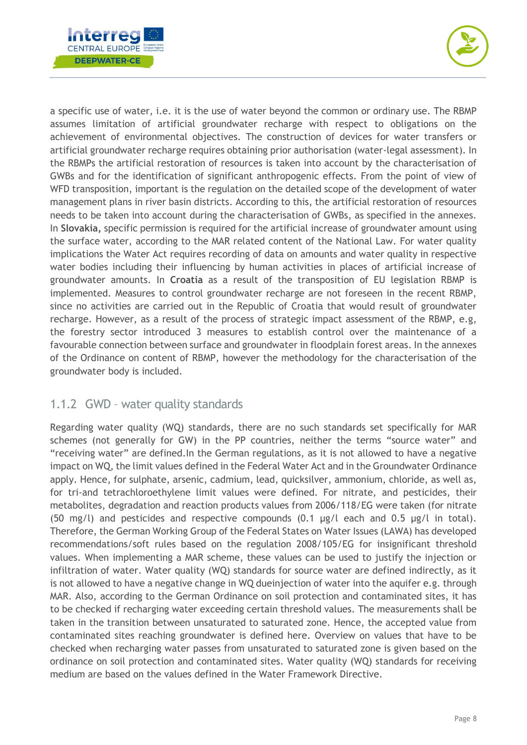



a specific use of water, i.e. it is the use of water beyond the common or ordinary use. The RBMP assumes limitation of artificial groundwater recharge with respect to obligations on the achievement of environmental objectives. The construction of devices for water transfers or artificial groundwater recharge requires obtaining prior authorisation (water-legal assessment). In the RBMPs the artificial restoration of resources is taken into account by the characterisation of GWBs and for the identification of significant anthropogenic effects. From the point of view of WFD transposition, important is the regulation on the detailed scope of the development of water management plans in river basin districts. According to this, the artificial restoration of resources needs to be taken into account during the characterisation of GWBs, as specified in the annexes. In **Slovakia,** specific permission is required for the artificial increase of groundwater amount using the surface water, according to the MAR related content of the National Law. For water quality implications the Water Act requires recording of data on amounts and water quality in respective water bodies including their influencing by human activities in places of artificial increase of groundwater amounts. In **Croatia** as a result of the transposition of EU legislation RBMP is implemented. Measures to control groundwater recharge are not foreseen in the recent RBMP, since no activities are carried out in the Republic of Croatia that would result of groundwater recharge. However, as a result of the process of strategic impact assessment of the RBMP, e.g, the forestry sector introduced 3 measures to establish control over the maintenance of a favourable connection between surface and groundwater in floodplain forest areas. In the annexes of the Ordinance on content of RBMP, however the methodology for the characterisation of the groundwater body is included.

#### <span id="page-8-0"></span>1.1.2 GWD – water quality standards

Regarding water quality (WQ) standards, there are no such standards set specifically for MAR schemes (not generally for GW) in the PP countries, neither the terms "source water" and "receiving water" are defined.In the German regulations, as it is not allowed to have a negative impact on WQ, the limit values defined in the Federal Water Act and in the Groundwater Ordinance apply. Hence, for sulphate, arsenic, cadmium, lead, quicksilver, ammonium, chloride, as well as, for tri-and tetrachloroethylene limit values were defined. For nitrate, and pesticides, their metabolites, degradation and reaction products values from 2006/118/EG were taken (for nitrate (50 mg/l) and pesticides and respective compounds (0.1 µg/l each and 0.5 µg/l in total). Therefore, the German Working Group of the Federal States on Water Issues (LAWA) has developed recommendations/soft rules based on the regulation 2008/105/EG for insignificant threshold values. When implementing a MAR scheme, these values can be used to justify the injection or infiltration of water. Water quality (WQ) standards for source water are defined indirectly, as it is not allowed to have a negative change in WQ dueinjection of water into the aquifer e.g. through MAR. Also, according to the German Ordinance on soil protection and contaminated sites, it has to be checked if recharging water exceeding certain threshold values. The measurements shall be taken in the transition between unsaturated to saturated zone. Hence, the accepted value from contaminated sites reaching groundwater is defined here. Overview on values that have to be checked when recharging water passes from unsaturated to saturated zone is given based on the ordinance on soil protection and contaminated sites. Water quality (WQ) standards for receiving medium are based on the values defined in the Water Framework Directive.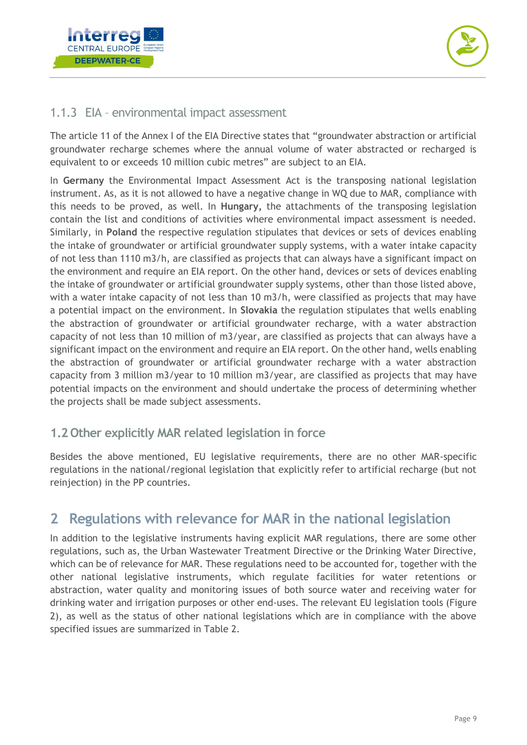



#### <span id="page-9-0"></span>1.1.3 EIA – environmental impact assessment

The article 11 of the Annex I of the EIA Directive states that "groundwater abstraction or artificial groundwater recharge schemes where the annual volume of water abstracted or recharged is equivalent to or exceeds 10 million cubic metres" are subject to an EIA.

In **Germany** the Environmental Impact Assessment Act is the transposing national legislation instrument. As, as it is not allowed to have a negative change in WQ due to MAR, compliance with this needs to be proved, as well. In **Hungary,** the attachments of the transposing legislation contain the list and conditions of activities where environmental impact assessment is needed. Similarly, in **Poland** the respective regulation stipulates that devices or sets of devices enabling the intake of groundwater or artificial groundwater supply systems, with a water intake capacity of not less than 1110 m3/h, are classified as projects that can always have a significant impact on the environment and require an EIA report. On the other hand, devices or sets of devices enabling the intake of groundwater or artificial groundwater supply systems, other than those listed above, with a water intake capacity of not less than 10 m3/h, were classified as projects that may have a potential impact on the environment. In **Slovakia** the regulation stipulates that wells enabling the abstraction of groundwater or artificial groundwater recharge, with a water abstraction capacity of not less than 10 million of m3/year, are classified as projects that can always have a significant impact on the environment and require an EIA report. On the other hand, wells enabling the abstraction of groundwater or artificial groundwater recharge with a water abstraction capacity from 3 million m3/year to 10 million m3/year, are classified as projects that may have potential impacts on the environment and should undertake the process of determining whether the projects shall be made subject assessments.

#### <span id="page-9-1"></span>**1.2 Other explicitly MAR related legislation in force**

Besides the above mentioned, EU legislative requirements, there are no other MAR-specific regulations in the national/regional legislation that explicitly refer to artificial recharge (but not reinjection) in the PP countries.

## <span id="page-9-2"></span>**2 Regulations with relevance for MAR in the national legislation**

In addition to the legislative instruments having explicit MAR regulations, there are some other regulations, such as, the Urban Wastewater Treatment Directive or the Drinking Water Directive, which can be of relevance for MAR. These regulations need to be accounted for, together with the other national legislative instruments, which regulate facilities for water retentions or abstraction, water quality and monitoring issues of both source water and receiving water for drinking water and irrigation purposes or other end-uses. The relevant EU legislation tools [\(Figure](#page-10-3)  [2\)](#page-10-3), as well as the status of other national legislations which are in compliance with the above specified issues are summarized in Table 2.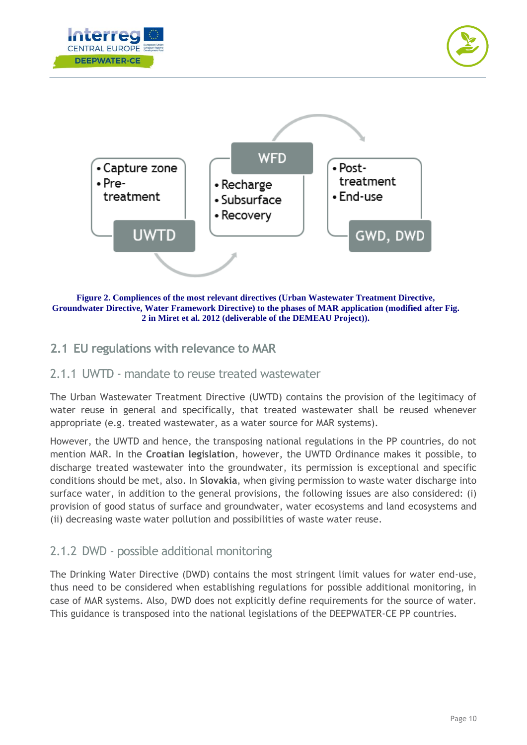





<span id="page-10-3"></span>**Figure 2. Compliences of the most relevant directives (Urban Wastewater Treatment Directive, Groundwater Directive, Water Framework Directive) to the phases of MAR application (modified after Fig. 2 in Miret et al. 2012 (deliverable of the DEMEAU Project)).**

#### <span id="page-10-0"></span>**2.1 EU regulations with relevance to MAR**

#### <span id="page-10-1"></span>2.1.1 UWTD - mandate to reuse treated wastewater

The Urban Wastewater Treatment Directive (UWTD) contains the provision of the legitimacy of water reuse in general and specifically, that treated wastewater shall be reused whenever appropriate (e.g. treated wastewater, as a water source for MAR systems).

However, the UWTD and hence, the transposing national regulations in the PP countries, do not mention MAR. In the **Croatian legislation**, however, the UWTD Ordinance makes it possible, to discharge treated wastewater into the groundwater, its permission is exceptional and specific conditions should be met, also. In **Slovakia**, when giving permission to waste water discharge into surface water, in addition to the general provisions, the following issues are also considered: (i) provision of good status of surface and groundwater, water ecosystems and land ecosystems and (ii) decreasing waste water pollution and possibilities of waste water reuse.

#### <span id="page-10-2"></span>2.1.2 DWD - possible additional monitoring

The Drinking Water Directive (DWD) contains the most stringent limit values for water end-use, thus need to be considered when establishing regulations for possible additional monitoring, in case of MAR systems. Also, DWD does not explicitly define requirements for the source of water. This guidance is transposed into the national legislations of the DEEPWATER-CE PP countries.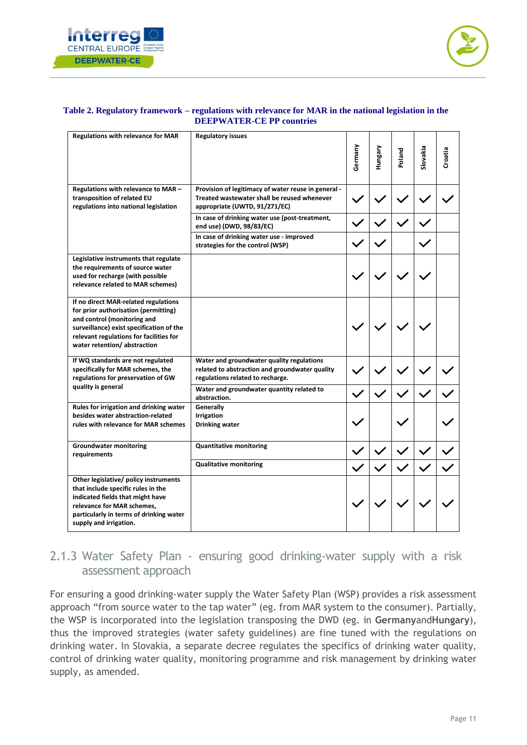



#### **Table 2. Regulatory framework – regulations with relevance for MAR in the national legislation in the DEEPWATER-CE PP countries**

| <b>Regulations with relevance for MAR</b>                                                                                                                                                                                         | <b>Regulatory issues</b>                                                                                                            |         |                |        |          |         |
|-----------------------------------------------------------------------------------------------------------------------------------------------------------------------------------------------------------------------------------|-------------------------------------------------------------------------------------------------------------------------------------|---------|----------------|--------|----------|---------|
|                                                                                                                                                                                                                                   |                                                                                                                                     | Germany | <b>Hungary</b> | Poland | Slovakia | Croatia |
| Regulations with relevance to MAR -<br>transposition of related EU<br>regulations into national legislation                                                                                                                       | Provision of legitimacy of water reuse in general -<br>Treated wastewater shall be reused whenever<br>appropriate (UWTD, 91/271/EC) |         |                |        |          |         |
|                                                                                                                                                                                                                                   | In case of drinking water use (post-treatment,<br>end use) (DWD, 98/83/EC)                                                          |         |                |        |          |         |
|                                                                                                                                                                                                                                   | In case of drinking water use - improved<br>strategies for the control (WSP)                                                        |         |                |        |          |         |
| Legislative instruments that regulate<br>the requirements of source water<br>used for recharge (with possible<br>relevance related to MAR schemes)                                                                                |                                                                                                                                     |         |                |        |          |         |
| If no direct MAR-related regulations<br>for prior authorisation (permitting)<br>and control (monitoring and<br>surveillance) exist specification of the<br>relevant regulations for facilities for<br>water retention/abstraction |                                                                                                                                     |         |                |        |          |         |
| If WQ standards are not regulated<br>specifically for MAR schemes, the<br>regulations for preservation of GW                                                                                                                      | Water and groundwater quality regulations<br>related to abstraction and groundwater quality<br>regulations related to recharge.     |         |                |        |          |         |
| quality is general                                                                                                                                                                                                                | Water and groundwater quantity related to<br>abstraction.                                                                           |         |                |        |          |         |
| Rules for irrigation and drinking water<br>besides water abstraction-related<br>rules with relevance for MAR schemes                                                                                                              | Generally<br>Irrigation<br><b>Drinking water</b>                                                                                    |         |                |        |          |         |
| <b>Groundwater monitoring</b><br>requirements                                                                                                                                                                                     | <b>Quantitative monitoring</b>                                                                                                      |         |                |        |          |         |
|                                                                                                                                                                                                                                   | <b>Qualitative monitoring</b>                                                                                                       |         |                |        |          |         |
| Other legislative/ policy instruments<br>that include specific rules in the<br>indicated fields that might have<br>relevance for MAR schemes,<br>particularly in terms of drinking water<br>supply and irrigation.                |                                                                                                                                     |         |                |        |          |         |

#### <span id="page-11-0"></span>2.1.3 Water Safety Plan - ensuring good drinking-water supply with a risk assessment approach

For ensuring a good drinking-water supply the Water Safety Plan (WSP) provides a risk assessment approach "from source water to the tap water" (eg. from MAR system to the consumer). Partially, the WSP is incorporated into the legislation transposing the DWD (eg. in **Germany**and**Hungary**), thus the improved strategies (water safety guidelines) are fine tuned with the regulations on drinking water. In Slovakia, a separate decree regulates the specifics of drinking water quality, control of drinking water quality, monitoring programme and risk management by drinking water supply, as amended.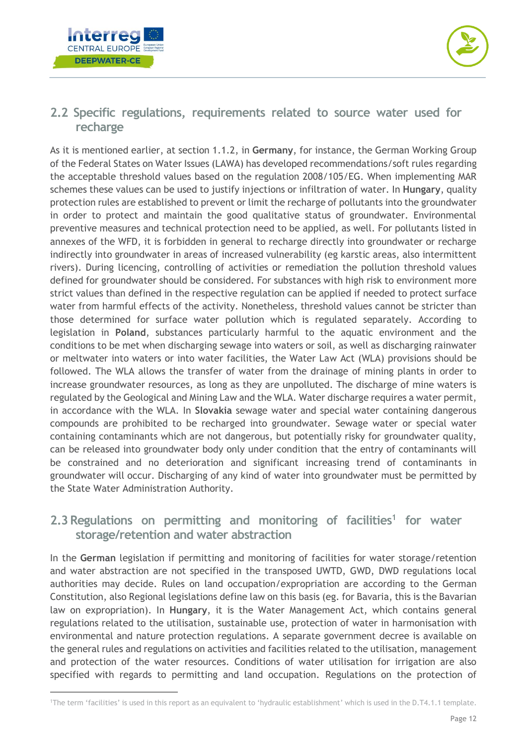



#### <span id="page-12-0"></span>**2.2 Specific regulations, requirements related to source water used for recharge**

As it is mentioned earlier, at section 1.1.2, in **Germany**, for instance, the German Working Group of the Federal States on Water Issues (LAWA) has developed recommendations/soft rules regarding the acceptable threshold values based on the regulation 2008/105/EG. When implementing MAR schemes these values can be used to justify injections or infiltration of water. In **Hungary**, quality protection rules are established to prevent or limit the recharge of pollutants into the groundwater in order to protect and maintain the good qualitative status of groundwater. Environmental preventive measures and technical protection need to be applied, as well. For pollutants listed in annexes of the WFD, it is forbidden in general to recharge directly into groundwater or recharge indirectly into groundwater in areas of increased vulnerability (eg karstic areas, also intermittent rivers). During licencing, controlling of activities or remediation the pollution threshold values defined for groundwater should be considered. For substances with high risk to environment more strict values than defined in the respective regulation can be applied if needed to protect surface water from harmful effects of the activity. Nonetheless, threshold values cannot be stricter than those determined for surface water pollution which is regulated separately. According to legislation in **Poland**, substances particularly harmful to the aquatic environment and the conditions to be met when discharging sewage into waters or soil, as well as discharging rainwater or meltwater into waters or into water facilities, the Water Law Act (WLA) provisions should be followed. The WLA allows the transfer of water from the drainage of mining plants in order to increase groundwater resources, as long as they are unpolluted. The discharge of mine waters is regulated by the Geological and Mining Law and the WLA. Water discharge requires a water permit, in accordance with the WLA. In **Slovakia** sewage water and special water containing dangerous compounds are prohibited to be recharged into groundwater. Sewage water or special water containing contaminants which are not dangerous, but potentially risky for groundwater quality, can be released into groundwater body only under condition that the entry of contaminants will be constrained and no deterioration and significant increasing trend of contaminants in groundwater will occur. Discharging of any kind of water into groundwater must be permitted by the State Water Administration Authority.

#### <span id="page-12-1"></span>**2.3Regulations on permitting and monitoring of facilities<sup>1</sup> for water storage/retention and water abstraction**

In the **German** legislation if permitting and monitoring of facilities for water storage/retention and water abstraction are not specified in the transposed UWTD, GWD, DWD regulations local authorities may decide. Rules on land occupation/expropriation are according to the German Constitution, also Regional legislations define law on this basis (eg. for Bavaria, this is the Bavarian law on expropriation). In **Hungary**, it is the Water Management Act, which contains general regulations related to the utilisation, sustainable use, protection of water in harmonisation with environmental and nature protection regulations. A separate government decree is available on the general rules and regulations on activities and facilities related to the utilisation, management and protection of the water resources. Conditions of water utilisation for irrigation are also specified with regards to permitting and land occupation. Regulations on the protection of

<sup>1</sup>The term 'facilities' is used in this report as an equivalent to 'hydraulic establishment' which is used in the D.T4.1.1 template.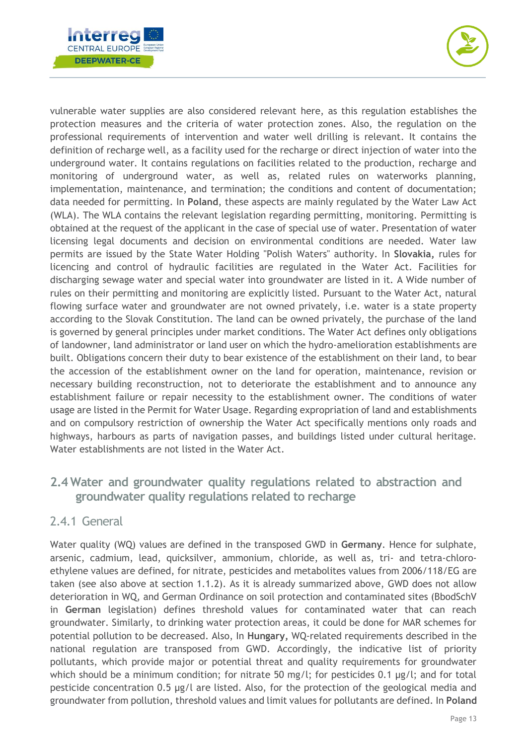



vulnerable water supplies are also considered relevant here, as this regulation establishes the protection measures and the criteria of water protection zones. Also, the regulation on the professional requirements of intervention and water well drilling is relevant. It contains the definition of recharge well, as a facility used for the recharge or direct injection of water into the underground water. It contains regulations on facilities related to the production, recharge and monitoring of underground water, as well as, related rules on waterworks planning, implementation, maintenance, and termination; the conditions and content of documentation; data needed for permitting. In **Poland**, these aspects are mainly regulated by the Water Law Act (WLA). The WLA contains the relevant legislation regarding permitting, monitoring. Permitting is obtained at the request of the applicant in the case of special use of water. Presentation of water licensing legal documents and decision on environmental conditions are needed. Water law permits are issued by the State Water Holding "Polish Waters" authority. In **Slovakia,** rules for licencing and control of hydraulic facilities are regulated in the Water Act. Facilities for discharging sewage water and special water into groundwater are listed in it. A Wide number of rules on their permitting and monitoring are explicitly listed. Pursuant to the Water Act, natural flowing surface water and groundwater are not owned privately, i.e. water is a state property according to the Slovak Constitution. The land can be owned privately, the purchase of the land is governed by general principles under market conditions. The Water Act defines only obligations of landowner, land administrator or land user on which the hydro-amelioration establishments are built. Obligations concern their duty to bear existence of the establishment on their land, to bear the accession of the establishment owner on the land for operation, maintenance, revision or necessary building reconstruction, not to deteriorate the establishment and to announce any establishment failure or repair necessity to the establishment owner. The conditions of water usage are listed in the Permit for Water Usage. Regarding expropriation of land and establishments and on compulsory restriction of ownership the Water Act specifically mentions only roads and highways, harbours as parts of navigation passes, and buildings listed under cultural heritage. Water establishments are not listed in the Water Act.

#### <span id="page-13-0"></span>**2.4 Water and groundwater quality regulations related to abstraction and groundwater quality regulations related to recharge**

#### <span id="page-13-1"></span>2.4.1 General

Water quality (WQ) values are defined in the transposed GWD in **Germany**. Hence for sulphate, arsenic, cadmium, lead, quicksilver, ammonium, chloride, as well as, tri- and tetra-chloroethylene values are defined, for nitrate, pesticides and metabolites values from 2006/118/EG are taken (see also above at section 1.1.2). As it is already summarized above, GWD does not allow deterioration in WQ, and German Ordinance on soil protection and contaminated sites (BbodSchV in **German** legislation) defines threshold values for contaminated water that can reach groundwater. Similarly, to drinking water protection areas, it could be done for MAR schemes for potential pollution to be decreased. Also, In **Hungary,** WQ-related requirements described in the national regulation are transposed from GWD. Accordingly, the indicative list of priority pollutants, which provide major or potential threat and quality requirements for groundwater which should be a minimum condition; for nitrate 50 mg/l; for pesticides 0.1 µg/l; and for total pesticide concentration 0.5 µg/l are listed. Also, for the protection of the geological media and groundwater from pollution, threshold values and limit values for pollutants are defined. In **Poland**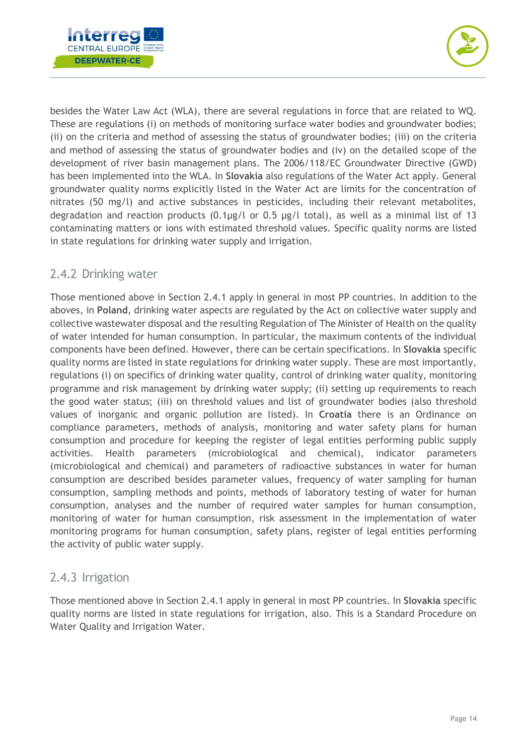



besides the Water Law Act (WLA), there are several regulations in force that are related to WQ. These are regulations (i) on methods of monitoring surface water bodies and groundwater bodies; (ii) on the criteria and method of assessing the status of groundwater bodies; (iii) on the criteria and method of assessing the status of groundwater bodies and (iv) on the detailed scope of the development of river basin management plans. The 2006/118/EC Groundwater Directive (GWD) has been implemented into the WLA. In **Slovakia** also regulations of the Water Act apply. General groundwater quality norms explicitly listed in the Water Act are limits for the concentration of nitrates (50 mg/l) and active substances in pesticides, including their relevant metabolites, degradation and reaction products (0.1μg/l or 0.5 μg/l total), as well as a minimal list of 13 contaminating matters or ions with estimated threshold values. Specific quality norms are listed in state regulations for drinking water supply and irrigation.

#### <span id="page-14-0"></span>2.4.2 Drinking water

Those mentioned above in Section 2.4.1 apply in general in most PP countries. In addition to the aboves, in **Poland**, drinking water aspects are regulated by the Act on collective water supply and collective wastewater disposal and the resulting Regulation of The Minister of Health on the quality of water intended for human consumption. In particular, the maximum contents of the individual components have been defined. However, there can be certain specifications. In **Slovakia** specific quality norms are listed in state regulations for drinking water supply. These are most importantly, regulations (i) on specifics of drinking water quality, control of drinking water quality, monitoring programme and risk management by drinking water supply; (ii) setting up requirements to reach the good water status; (iii) on threshold values and list of groundwater bodies (also threshold values of inorganic and organic pollution are listed). In **Croatia** there is an Ordinance on compliance parameters, methods of analysis, monitoring and water safety plans for human consumption and procedure for keeping the register of legal entities performing public supply activities. Health parameters (microbiological and chemical), indicator parameters (microbiological and chemical) and parameters of radioactive substances in water for human consumption are described besides parameter values, frequency of water sampling for human consumption, sampling methods and points, methods of laboratory testing of water for human consumption, analyses and the number of required water samples for human consumption, monitoring of water for human consumption, risk assessment in the implementation of water monitoring programs for human consumption, safety plans, register of legal entities performing the activity of public water supply.

#### <span id="page-14-1"></span>2.4.3 Irrigation

Those mentioned above in Section 2.4.1 apply in general in most PP countries. In **Slovakia** specific quality norms are listed in state regulations for irrigation, also. This is a Standard Procedure on Water Quality and Irrigation Water.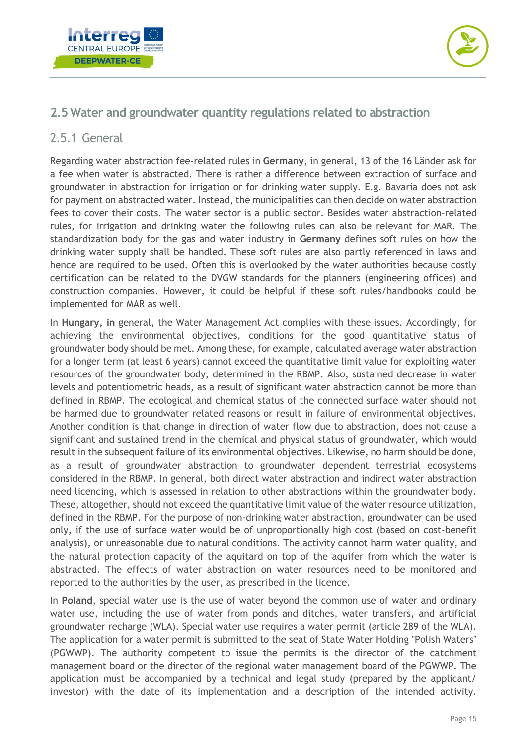



#### <span id="page-15-0"></span>**2.5 Water and groundwater quantity regulations related to abstraction**

#### <span id="page-15-1"></span>2.5.1 General

Regarding water abstraction fee-related rules in **Germany**, in general, 13 of the 16 Länder ask for a fee when water is abstracted. There is rather a difference between extraction of surface and groundwater in abstraction for irrigation or for drinking water supply. E.g. Bavaria does not ask for payment on abstracted water. Instead, the municipalities can then decide on water abstraction fees to cover their costs. The water sector is a public sector. Besides water abstraction-related rules, for irrigation and drinking water the following rules can also be relevant for MAR. The standardization body for the gas and water industry in **Germany** defines soft rules on how the drinking water supply shall be handled. These soft rules are also partly referenced in laws and hence are required to be used. Often this is overlooked by the water authorities because costly certification can be related to the DVGW standards for the planners (engineering offices) and construction companies. However, it could be helpful if these soft rules/handbooks could be implemented for MAR as well.

In **Hungary, in** general, the Water Management Act complies with these issues. Accordingly, for achieving the environmental objectives, conditions for the good quantitative status of groundwater body should be met. Among these, for example, calculated average water abstraction for a longer term (at least 6 years) cannot exceed the quantitative limit value for exploiting water resources of the groundwater body, determined in the RBMP. Also, sustained decrease in water levels and potentiometric heads, as a result of significant water abstraction cannot be more than defined in RBMP. The ecological and chemical status of the connected surface water should not be harmed due to groundwater related reasons or result in failure of environmental objectives. Another condition is that change in direction of water flow due to abstraction, does not cause a significant and sustained trend in the chemical and physical status of groundwater, which would result in the subsequent failure of its environmental objectives. Likewise, no harm should be done, as a result of groundwater abstraction to groundwater dependent terrestrial ecosystems considered in the RBMP. In general, both direct water abstraction and indirect water abstraction need licencing, which is assessed in relation to other abstractions within the groundwater body. These, altogether, should not exceed the quantitative limit value of the water resource utilization, defined in the RBMP. For the purpose of non-drinking water abstraction, groundwater can be used only, if the use of surface water would be of unproportionally high cost (based on cost-benefit analysis), or unreasonable due to natural conditions. The activity cannot harm water quality, and the natural protection capacity of the aquitard on top of the aquifer from which the water is abstracted. The effects of water abstraction on water resources need to be monitored and reported to the authorities by the user, as prescribed in the licence.

In **Poland**, special water use is the use of water beyond the common use of water and ordinary water use, including the use of water from ponds and ditches, water transfers, and artificial groundwater recharge (WLA). Special water use requires a water permit (article 289 of the WLA). The application for a water permit is submitted to the seat of State Water Holding "Polish Waters" (PGWWP). The authority competent to issue the permits is the director of the catchment management board or the director of the regional water management board of the PGWWP. The application must be accompanied by a technical and legal study (prepared by the applicant/ investor) with the date of its implementation and a description of the intended activity.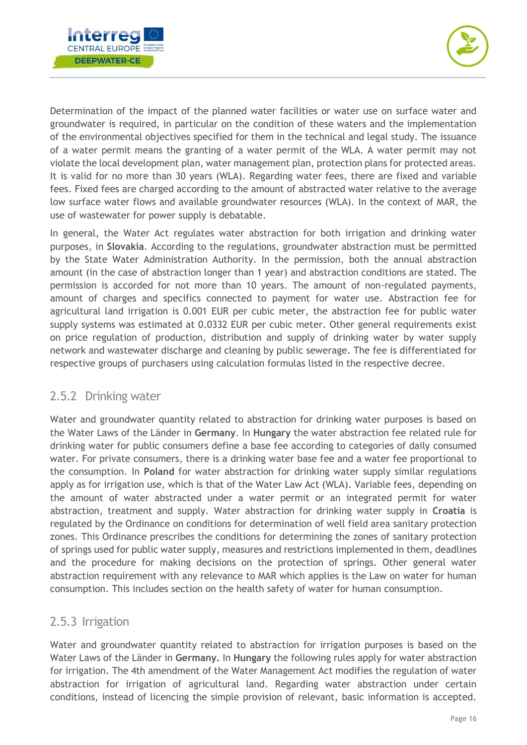



Determination of the impact of the planned water facilities or water use on surface water and groundwater is required, in particular on the condition of these waters and the implementation of the environmental objectives specified for them in the technical and legal study. The issuance of a water permit means the granting of a water permit of the WLA. A water permit may not violate the local development plan, water management plan, protection plans for protected areas. It is valid for no more than 30 years (WLA). Regarding water fees, there are fixed and variable fees. Fixed fees are charged according to the amount of abstracted water relative to the average low surface water flows and available groundwater resources (WLA). In the context of MAR, the use of wastewater for power supply is debatable.

In general, the Water Act regulates water abstraction for both irrigation and drinking water purposes, in **Slovakia**. According to the regulations, groundwater abstraction must be permitted by the State Water Administration Authority. In the permission, both the annual abstraction amount (in the case of abstraction longer than 1 year) and abstraction conditions are stated. The permission is accorded for not more than 10 years. The amount of non-regulated payments, amount of charges and specifics connected to payment for water use. Abstraction fee for agricultural land irrigation is 0.001 EUR per cubic meter, the abstraction fee for public water supply systems was estimated at 0.0332 EUR per cubic meter. Other general requirements exist on price regulation of production, distribution and supply of drinking water by water supply network and wastewater discharge and cleaning by public sewerage. The fee is differentiated for respective groups of purchasers using calculation formulas listed in the respective decree.

#### <span id="page-16-0"></span>2.5.2 Drinking water

Water and groundwater quantity related to abstraction for drinking water purposes is based on the Water Laws of the Länder in **Germany**. In **Hungary** the water abstraction fee related rule for drinking water for public consumers define a base fee according to categories of daily consumed water. For private consumers, there is a drinking water base fee and a water fee proportional to the consumption. In **Poland** for water abstraction for drinking water supply similar regulations apply as for irrigation use, which is that of the Water Law Act (WLA). Variable fees, depending on the amount of water abstracted under a water permit or an integrated permit for water abstraction, treatment and supply. Water abstraction for drinking water supply in **Croatia** is regulated by the Ordinance on conditions for determination of well field area sanitary protection zones. This Ordinance prescribes the conditions for determining the zones of sanitary protection of springs used for public water supply, measures and restrictions implemented in them, deadlines and the procedure for making decisions on the protection of springs. Other general water abstraction requirement with any relevance to MAR which applies is the Law on water for human consumption. This includes section on the health safety of water for human consumption.

#### <span id="page-16-1"></span>2.5.3 Irrigation

Water and groundwater quantity related to abstraction for irrigation purposes is based on the Water Laws of the Länder in **Germany.** In **Hungary** the following rules apply for water abstraction for irrigation. The 4th amendment of the Water Management Act modifies the regulation of water abstraction for irrigation of agricultural land. Regarding water abstraction under certain conditions, instead of licencing the simple provision of relevant, basic information is accepted.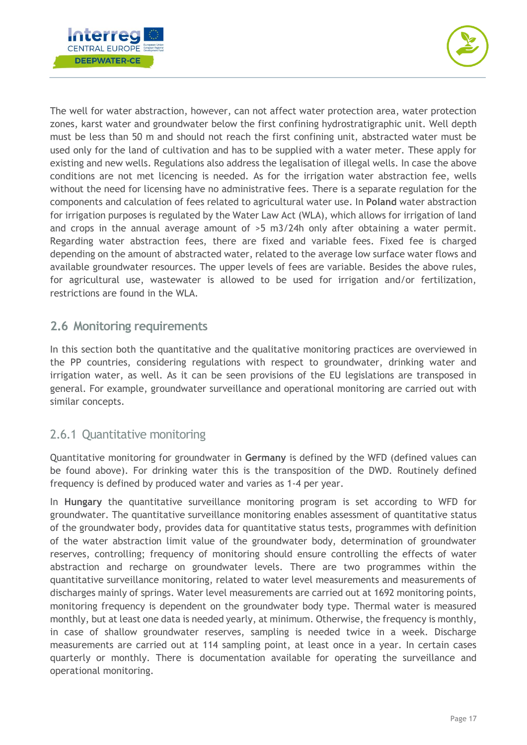



The well for water abstraction, however, can not affect water protection area, water protection zones, karst water and groundwater below the first confining hydrostratigraphic unit. Well depth must be less than 50 m and should not reach the first confining unit, abstracted water must be used only for the land of cultivation and has to be supplied with a water meter. These apply for existing and new wells. Regulations also address the legalisation of illegal wells. In case the above conditions are not met licencing is needed. As for the irrigation water abstraction fee, wells without the need for licensing have no administrative fees. There is a separate regulation for the components and calculation of fees related to agricultural water use. In **Poland** water abstraction for irrigation purposes is regulated by the Water Law Act (WLA), which allows for irrigation of land and crops in the annual average amount of >5 m3/24h only after obtaining a water permit. Regarding water abstraction fees, there are fixed and variable fees. Fixed fee is charged depending on the amount of abstracted water, related to the average low surface water flows and available groundwater resources. The upper levels of fees are variable. Besides the above rules, for agricultural use, wastewater is allowed to be used for irrigation and/or fertilization, restrictions are found in the WLA.

#### <span id="page-17-0"></span>**2.6 Monitoring requirements**

In this section both the quantitative and the qualitative monitoring practices are overviewed in the PP countries, considering regulations with respect to groundwater, drinking water and irrigation water, as well. As it can be seen provisions of the EU legislations are transposed in general. For example, groundwater surveillance and operational monitoring are carried out with similar concepts.

#### <span id="page-17-1"></span>2.6.1 Quantitative monitoring

Quantitative monitoring for groundwater in **Germany** is defined by the WFD (defined values can be found above). For drinking water this is the transposition of the DWD. Routinely defined frequency is defined by produced water and varies as 1-4 per year.

In **Hungary** the quantitative surveillance monitoring program is set according to WFD for groundwater. The quantitative surveillance monitoring enables assessment of quantitative status of the groundwater body, provides data for quantitative status tests, programmes with definition of the water abstraction limit value of the groundwater body, determination of groundwater reserves, controlling; frequency of monitoring should ensure controlling the effects of water abstraction and recharge on groundwater levels. There are two programmes within the quantitative surveillance monitoring, related to water level measurements and measurements of discharges mainly of springs. Water level measurements are carried out at 1692 monitoring points, monitoring frequency is dependent on the groundwater body type. Thermal water is measured monthly, but at least one data is needed yearly, at minimum. Otherwise, the frequency is monthly, in case of shallow groundwater reserves, sampling is needed twice in a week. Discharge measurements are carried out at 114 sampling point, at least once in a year. In certain cases quarterly or monthly. There is documentation available for operating the surveillance and operational monitoring.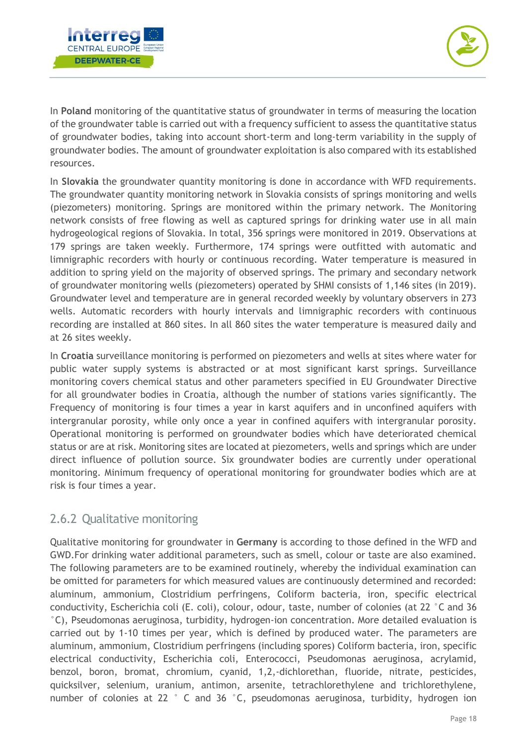



In **Poland** monitoring of the quantitative status of groundwater in terms of measuring the location of the groundwater table is carried out with a frequency sufficient to assess the quantitative status of groundwater bodies, taking into account short-term and long-term variability in the supply of groundwater bodies. The amount of groundwater exploitation is also compared with its established resources.

In **Slovakia** the groundwater quantity monitoring is done in accordance with WFD requirements. The groundwater quantity monitoring network in Slovakia consists of springs monitoring and wells (piezometers) monitoring. Springs are monitored within the primary network. The Monitoring network consists of free flowing as well as captured springs for drinking water use in all main hydrogeological regions of Slovakia. In total, 356 springs were monitored in 2019. Observations at 179 springs are taken weekly. Furthermore, 174 springs were outfitted with automatic and limnigraphic recorders with hourly or continuous recording. Water temperature is measured in addition to spring yield on the majority of observed springs. The primary and secondary network of groundwater monitoring wells (piezometers) operated by SHMI consists of 1,146 sites (in 2019). Groundwater level and temperature are in general recorded weekly by voluntary observers in 273 wells. Automatic recorders with hourly intervals and limnigraphic recorders with continuous recording are installed at 860 sites. In all 860 sites the water temperature is measured daily and at 26 sites weekly.

In **Croatia** surveillance monitoring is performed on piezometers and wells at sites where water for public water supply systems is abstracted or at most significant karst springs. Surveillance monitoring covers chemical status and other parameters specified in EU Groundwater Directive for all groundwater bodies in Croatia, although the number of stations varies significantly. The Frequency of monitoring is four times a year in karst aquifers and in unconfined aquifers with intergranular porosity, while only once a year in confined aquifers with intergranular porosity. Operational monitoring is performed on groundwater bodies which have deteriorated chemical status or are at risk. Monitoring sites are located at piezometers, wells and springs which are under direct influence of pollution source. Six groundwater bodies are currently under operational monitoring. Minimum frequency of operational monitoring for groundwater bodies which are at risk is four times a year.

#### <span id="page-18-0"></span>2.6.2 Qualitative monitoring

Qualitative monitoring for groundwater in **Germany** is according to those defined in the WFD and GWD.For drinking water additional parameters, such as smell, colour or taste are also examined. The following parameters are to be examined routinely, whereby the individual examination can be omitted for parameters for which measured values are continuously determined and recorded: aluminum, ammonium, Clostridium perfringens, Coliform bacteria, iron, specific electrical conductivity, Escherichia coli (E. coli), colour, odour, taste, number of colonies (at 22 °C and 36 °C), Pseudomonas aeruginosa, turbidity, hydrogen-ion concentration. More detailed evaluation is carried out by 1-10 times per year, which is defined by produced water. The parameters are aluminum, ammonium, Clostridium perfringens (including spores) Coliform bacteria, iron, specific electrical conductivity, Escherichia coli, Enterococci, Pseudomonas aeruginosa, acrylamid, benzol, boron, bromat, chromium, cyanid, 1,2,-dichlorethan, fluoride, nitrate, pesticides, quicksilver, selenium, uranium, antimon, arsenite, tetrachlorethylene and trichlorethylene, number of colonies at 22 ° C and 36 °C, pseudomonas aeruginosa, turbidity, hydrogen ion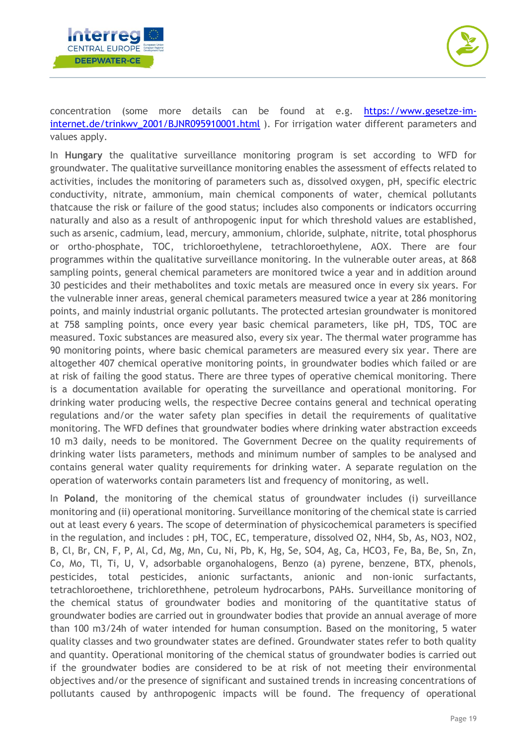



concentration (some more details can be found at e.g. [https://www.gesetze-im](https://www.gesetze-im-internet.de/trinkwv_2001/BJNR095910001.html)[internet.de/trinkwv\\_2001/BJNR095910001.html](https://www.gesetze-im-internet.de/trinkwv_2001/BJNR095910001.html) ). For irrigation water different parameters and values apply.

In **Hungary** the qualitative surveillance monitoring program is set according to WFD for groundwater. The qualitative surveillance monitoring enables the assessment of effects related to activities, includes the monitoring of parameters such as, dissolved oxygen, pH, specific electric conductivity, nitrate, ammonium, main chemical components of water, chemical pollutants thatcause the risk or failure of the good status; includes also components or indicators occurring naturally and also as a result of anthropogenic input for which threshold values are established, such as arsenic, cadmium, lead, mercury, ammonium, chloride, sulphate, nitrite, total phosphorus or ortho-phosphate, TOC, trichloroethylene, tetrachloroethylene, AOX. There are four programmes within the qualitative surveillance monitoring. In the vulnerable outer areas, at 868 sampling points, general chemical parameters are monitored twice a year and in addition around 30 pesticides and their methabolites and toxic metals are measured once in every six years. For the vulnerable inner areas, general chemical parameters measured twice a year at 286 monitoring points, and mainly industrial organic pollutants. The protected artesian groundwater is monitored at 758 sampling points, once every year basic chemical parameters, like pH, TDS, TOC are measured. Toxic substances are measured also, every six year. The thermal water programme has 90 monitoring points, where basic chemical parameters are measured every six year. There are altogether 407 chemical operative monitoring points, in groundwater bodies which failed or are at risk of failing the good status. There are three types of operative chemical monitoring. There is a documentation available for operating the surveillance and operational monitoring. For drinking water producing wells, the respective Decree contains general and technical operating regulations and/or the water safety plan specifies in detail the requirements of qualitative monitoring. The WFD defines that groundwater bodies where drinking water abstraction exceeds 10 m3 daily, needs to be monitored. The Government Decree on the quality requirements of drinking water lists parameters, methods and minimum number of samples to be analysed and contains general water quality requirements for drinking water. A separate regulation on the operation of waterworks contain parameters list and frequency of monitoring, as well.

In **Poland**, the monitoring of the chemical status of groundwater includes (i) surveillance monitoring and (ii) operational monitoring. Surveillance monitoring of the chemical state is carried out at least every 6 years. The scope of determination of physicochemical parameters is specified in the regulation, and includes : pH, TOC, EC, temperature, dissolved O2, NH4, Sb, As, NO3, NO2, B, Cl, Br, CN, F, P, Al, Cd, Mg, Mn, Cu, Ni, Pb, K, Hg, Se, SO4, Ag, Ca, HCO3, Fe, Ba, Be, Sn, Zn, Co, Mo, Tl, Ti, U, V, adsorbable organohalogens, Benzo (a) pyrene, benzene, BTX, phenols, pesticides, total pesticides, anionic surfactants, anionic and non-ionic surfactants, tetrachloroethene, trichlorethhene, petroleum hydrocarbons, PAHs. Surveillance monitoring of the chemical status of groundwater bodies and monitoring of the quantitative status of groundwater bodies are carried out in groundwater bodies that provide an annual average of more than 100 m3/24h of water intended for human consumption. Based on the monitoring, 5 water quality classes and two groundwater states are defined. Groundwater states refer to both quality and quantity. Operational monitoring of the chemical status of groundwater bodies is carried out if the groundwater bodies are considered to be at risk of not meeting their environmental objectives and/or the presence of significant and sustained trends in increasing concentrations of pollutants caused by anthropogenic impacts will be found. The frequency of operational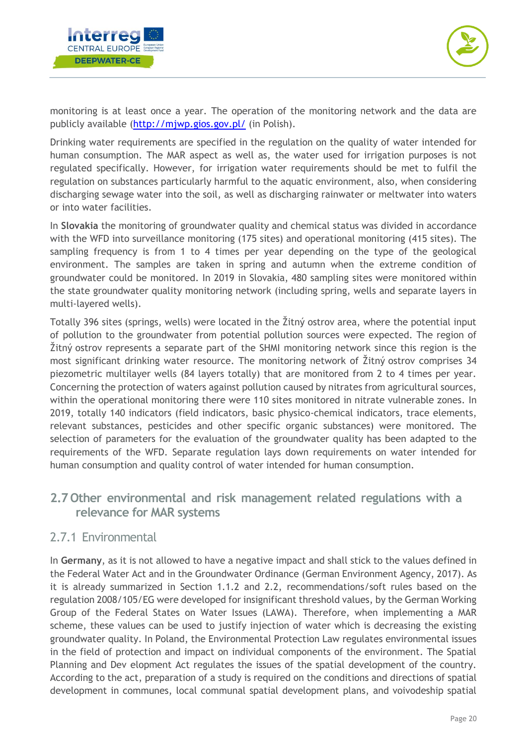



monitoring is at least once a year. The operation of the monitoring network and the data are publicly available [\(http://mjwp.gios.gov.pl/](http://mjwp.gios.gov.pl/) (in Polish).

Drinking water requirements are specified in the regulation on the quality of water intended for human consumption. The MAR aspect as well as, the water used for irrigation purposes is not regulated specifically. However, for irrigation water requirements should be met to fulfil the regulation on substances particularly harmful to the aquatic environment, also, when considering discharging sewage water into the soil, as well as discharging rainwater or meltwater into waters or into water facilities.

In **Slovakia** the monitoring of groundwater quality and chemical status was divided in accordance with the WFD into surveillance monitoring (175 sites) and operational monitoring (415 sites). The sampling frequency is from 1 to 4 times per year depending on the type of the geological environment. The samples are taken in spring and autumn when the extreme condition of groundwater could be monitored. In 2019 in Slovakia, 480 sampling sites were monitored within the state groundwater quality monitoring network (including spring, wells and separate layers in multi-layered wells).

Totally 396 sites (springs, wells) were located in the Žitný ostrov area, where the potential input of pollution to the groundwater from potential pollution sources were expected. The region of Žitný ostrov represents a separate part of the SHMI monitoring network since this region is the most significant drinking water resource. The monitoring network of Žitný ostrov comprises 34 piezometric multilayer wells (84 layers totally) that are monitored from 2 to 4 times per year. Concerning the protection of waters against pollution caused by nitrates from agricultural sources, within the operational monitoring there were 110 sites monitored in nitrate vulnerable zones. In 2019, totally 140 indicators (field indicators, basic physico-chemical indicators, trace elements, relevant substances, pesticides and other specific organic substances) were monitored. The selection of parameters for the evaluation of the groundwater quality has been adapted to the requirements of the WFD. Separate regulation lays down requirements on water intended for human consumption and quality control of water intended for human consumption.

#### <span id="page-20-0"></span>**2.7 Other environmental and risk management related regulations with a relevance for MAR systems**

#### <span id="page-20-1"></span>2.7.1 Environmental

In **Germany**, as it is not allowed to have a negative impact and shall stick to the values defined in the Federal Water Act and in the Groundwater Ordinance (German Environment Agency, 2017). As it is already summarized in Section 1.1.2 and 2.2, recommendations/soft rules based on the regulation 2008/105/EG were developed for insignificant threshold values, by the German Working Group of the Federal States on Water Issues (LAWA). Therefore, when implementing a MAR scheme, these values can be used to justify injection of water which is decreasing the existing groundwater quality. In Poland, the Environmental Protection Law regulates environmental issues in the field of protection and impact on individual components of the environment. The Spatial Planning and Dev elopment Act regulates the issues of the spatial development of the country. According to the act, preparation of a study is required on the conditions and directions of spatial development in communes, local communal spatial development plans, and voivodeship spatial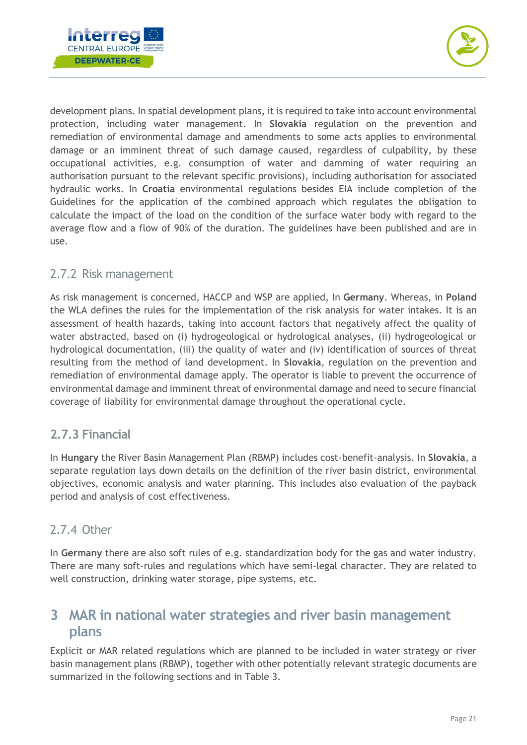



development plans. In spatial development plans, it is required to take into account environmental protection, including water management. In **Slovakia** regulation on the prevention and remediation of environmental damage and amendments to some acts applies to environmental damage or an imminent threat of such damage caused, regardless of culpability, by these occupational activities, e.g. consumption of water and damming of water requiring an authorisation pursuant to the relevant specific provisions), including authorisation for associated hydraulic works. In **Croatia** environmental regulations besides EIA include completion of the Guidelines for the application of the combined approach which regulates the obligation to calculate the impact of the load on the condition of the surface water body with regard to the average flow and a flow of 90% of the duration. The guidelines have been published and are in use.

#### <span id="page-21-0"></span>2.7.2 Risk management

As risk management is concerned, HACCP and WSP are applied, In **Germany**. Whereas, in **Poland** the WLA defines the rules for the implementation of the risk analysis for water intakes. It is an assessment of health hazards, taking into account factors that negatively affect the quality of water abstracted, based on (i) hydrogeological or hydrological analyses, (ii) hydrogeological or hydrological documentation, (iii) the quality of water and (iv) identification of sources of threat resulting from the method of land development. In **Slovakia**, regulation on the prevention and remediation of environmental damage apply. The operator is liable to prevent the occurrence of environmental damage and imminent threat of environmental damage and need to secure financial coverage of liability for environmental damage throughout the operational cycle.

#### <span id="page-21-1"></span>**2.7.3 Financial**

In **Hungary** the River Basin Management Plan (RBMP) includes cost-benefit-analysis. In **Slovakia**, a separate regulation lays down details on the definition of the river basin district, environmental objectives, economic analysis and water planning. This includes also evaluation of the payback period and analysis of cost effectiveness.

#### <span id="page-21-2"></span>2.7.4 Other

In **Germany** there are also soft rules of e.g. standardization body for the gas and water industry. There are many soft-rules and regulations which have semi-legal character. They are related to well construction, drinking water storage, pipe systems, etc.

# <span id="page-21-3"></span>**3 MAR in national water strategies and river basin management plans**

Explicit or MAR related regulations which are planned to be included in water strategy or river basin management plans (RBMP), together with other potentially relevant strategic documents are summarized in the following sections and in [Table 3.](#page-22-1)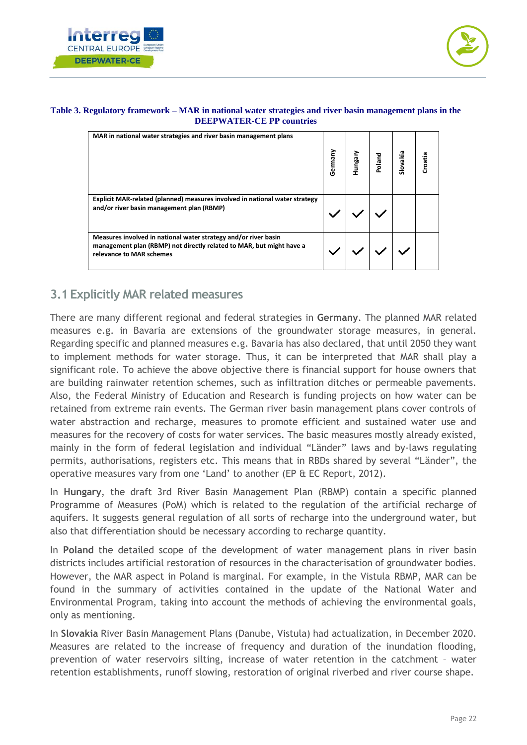



#### <span id="page-22-1"></span>**Table 3. Regulatory framework – MAR in national water strategies and river basin management plans in the DEEPWATER-CE PP countries**

| MAR in national water strategies and river basin management plans                                                                                                   | Germany | hungar | Poland | Slovakia | Croatia |
|---------------------------------------------------------------------------------------------------------------------------------------------------------------------|---------|--------|--------|----------|---------|
| Explicit MAR-related (planned) measures involved in national water strategy<br>and/or river basin management plan (RBMP)                                            |         |        |        |          |         |
| Measures involved in national water strategy and/or river basin<br>management plan (RBMP) not directly related to MAR, but might have a<br>relevance to MAR schemes |         |        |        |          |         |

#### <span id="page-22-0"></span>**3.1 Explicitly MAR related measures**

There are many different regional and federal strategies in **Germany**. The planned MAR related measures e.g. in Bavaria are extensions of the groundwater storage measures, in general. Regarding specific and planned measures e.g. Bavaria has also declared, that until 2050 they want to implement methods for water storage. Thus, it can be interpreted that MAR shall play a significant role. To achieve the above objective there is financial support for house owners that are building rainwater retention schemes, such as infiltration ditches or permeable pavements. Also, the Federal Ministry of Education and Research is funding projects on how water can be retained from extreme rain events. The German river basin management plans cover controls of water abstraction and recharge, measures to promote efficient and sustained water use and measures for the recovery of costs for water services. The basic measures mostly already existed, mainly in the form of federal legislation and individual "Länder" laws and by-laws regulating permits, authorisations, registers etc. This means that in RBDs shared by several "Länder", the operative measures vary from one 'Land' to another (EP & EC Report, 2012).

In **Hungary**, the draft 3rd River Basin Management Plan (RBMP) contain a specific planned Programme of Measures (PoM) which is related to the regulation of the artificial recharge of aquifers. It suggests general regulation of all sorts of recharge into the underground water, but also that differentiation should be necessary according to recharge quantity.

In **Poland** the detailed scope of the development of water management plans in river basin districts includes artificial restoration of resources in the characterisation of groundwater bodies. However, the MAR aspect in Poland is marginal. For example, in the Vistula RBMP, MAR can be found in the summary of activities contained in the update of the National Water and Environmental Program, taking into account the methods of achieving the environmental goals, only as mentioning.

In **Slovakia** River Basin Management Plans (Danube, Vistula) had actualization, in December 2020. Measures are related to the increase of frequency and duration of the inundation flooding, prevention of water reservoirs silting, increase of water retention in the catchment – water retention establishments, runoff slowing, restoration of original riverbed and river course shape.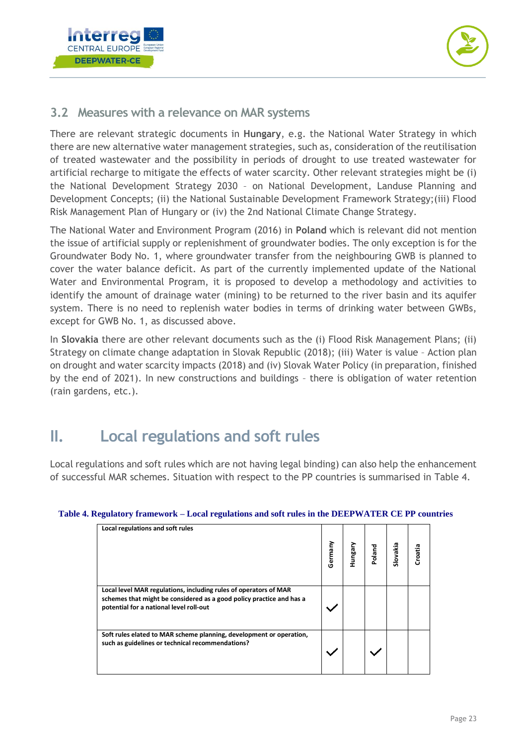



#### **3.2 Measures with a relevance on MAR systems**

There are relevant strategic documents in **Hungary**, e.g. the National Water Strategy in which there are new alternative water management strategies, such as, consideration of the reutilisation of treated wastewater and the possibility in periods of drought to use treated wastewater for artificial recharge to mitigate the effects of water scarcity. Other relevant strategies might be (i) the National Development Strategy 2030 – on National Development, Landuse Planning and Development Concepts; (ii) the National Sustainable Development Framework Strategy;(iii) Flood Risk Management Plan of Hungary or (iv) the 2nd National Climate Change Strategy.

The National Water and Environment Program (2016) in **Poland** which is relevant did not mention the issue of artificial supply or replenishment of groundwater bodies. The only exception is for the Groundwater Body No. 1, where groundwater transfer from the neighbouring GWB is planned to cover the water balance deficit. As part of the currently implemented update of the National Water and Environmental Program, it is proposed to develop a methodology and activities to identify the amount of drainage water (mining) to be returned to the river basin and its aquifer system. There is no need to replenish water bodies in terms of drinking water between GWBs, except for GWB No. 1, as discussed above.

In **Slovakia** there are other relevant documents such as the (i) Flood Risk Management Plans; (ii) Strategy on climate change adaptation in Slovak Republic (2018); (iii) Water is value – Action plan on drought and water scarcity impacts (2018) and (iv) Slovak Water Policy (in preparation, finished by the end of 2021). In new constructions and buildings – there is obligation of water retention (rain gardens, etc.).

# **II. Local regulations and soft rules**

Local regulations and soft rules which are not having legal binding) can also help the enhancement of successful MAR schemes. Situation with respect to the PP countries is summarised in [Table 4.](#page-23-0)

| Local regulations and soft rules                                                                                                                                                    | Germany | Hungary | Poland | Slovakia | Croatia |
|-------------------------------------------------------------------------------------------------------------------------------------------------------------------------------------|---------|---------|--------|----------|---------|
| Local level MAR regulations, including rules of operators of MAR<br>schemes that might be considered as a good policy practice and has a<br>potential for a national level roll-out |         |         |        |          |         |
| Soft rules elated to MAR scheme planning, development or operation,<br>such as guidelines or technical recommendations?                                                             |         |         |        |          |         |

#### <span id="page-23-0"></span>**Table 4. Regulatory framework – Local regulations and soft rules in the DEEPWATER CE PP countries**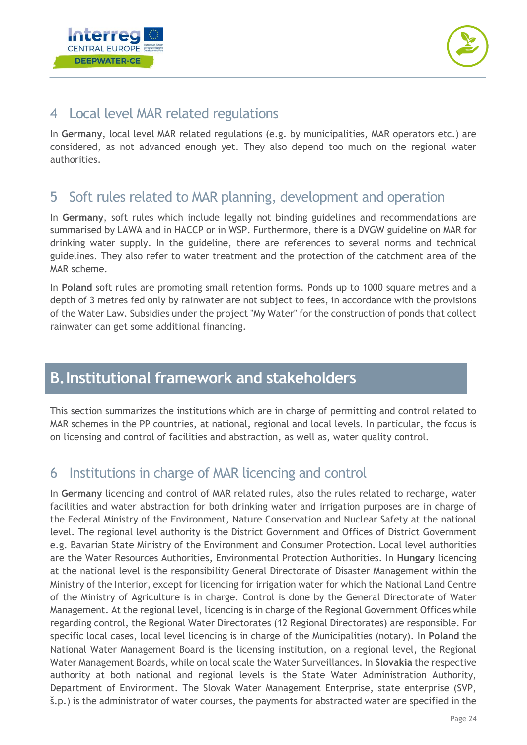



# <span id="page-24-0"></span>4 Local level MAR related regulations

In **Germany**, local level MAR related regulations (e.g. by municipalities, MAR operators etc.) are considered, as not advanced enough yet. They also depend too much on the regional water authorities.

## <span id="page-24-1"></span>5 Soft rules related to MAR planning, development and operation

In **Germany**, soft rules which include legally not binding guidelines and recommendations are summarised by LAWA and in HACCP or in WSP. Furthermore, there is a DVGW guideline on MAR for drinking water supply. In the guideline, there are references to several norms and technical guidelines. They also refer to water treatment and the protection of the catchment area of the MAR scheme.

In **Poland** soft rules are promoting small retention forms. Ponds up to 1000 square metres and a depth of 3 metres fed only by rainwater are not subject to fees, in accordance with the provisions of the Water Law. Subsidies under the project "My Water" for the construction of ponds that collect rainwater can get some additional financing.

# <span id="page-24-2"></span>**B.Institutional framework and stakeholders**

This section summarizes the institutions which are in charge of permitting and control related to MAR schemes in the PP countries, at national, regional and local levels. In particular, the focus is on licensing and control of facilities and abstraction, as well as, water quality control.

# <span id="page-24-3"></span>6 Institutions in charge of MAR licencing and control

In **Germany** licencing and control of MAR related rules, also the rules related to recharge, water facilities and water abstraction for both drinking water and irrigation purposes are in charge of the Federal Ministry of the Environment, Nature Conservation and Nuclear Safety at the national level. The regional level authority is the District Government and Offices of District Government e.g. Bavarian State Ministry of the Environment and Consumer Protection. Local level authorities are the Water Resources Authorities, Environmental Protection Authorities. In **Hungary** licencing at the national level is the responsibility General Directorate of Disaster Management within the Ministry of the Interior, except for licencing for irrigation water for which the National Land Centre of the Ministry of Agriculture is in charge. Control is done by the General Directorate of Water Management. At the regional level, licencing is in charge of the Regional Government Offices while regarding control, the Regional Water Directorates (12 Regional Directorates) are responsible. For specific local cases, local level licencing is in charge of the Municipalities (notary). In **Poland** the National Water Management Board is the licensing institution, on a regional level, the Regional Water Management Boards, while on local scale the Water Surveillances. In **Slovakia** the respective authority at both national and regional levels is the State Water Administration Authority, Department of Environment. The Slovak Water Management Enterprise, state enterprise (SVP, š.p.) is the administrator of water courses, the payments for abstracted water are specified in the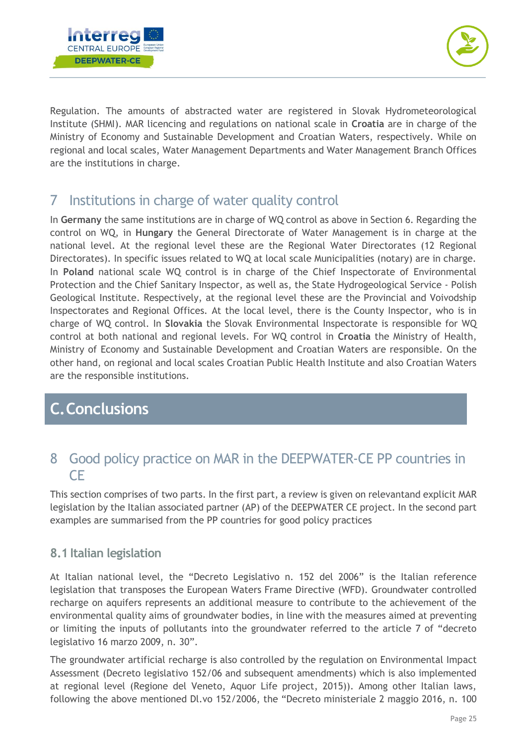



Regulation. The amounts of abstracted water are registered in Slovak Hydrometeorological Institute (SHMI). MAR licencing and regulations on national scale in **Croatia** are in charge of the Ministry of Economy and Sustainable Development and Croatian Waters, respectively. While on regional and local scales, Water Management Departments and Water Management Branch Offices are the institutions in charge.

## <span id="page-25-0"></span>7 Institutions in charge of water quality control

In **Germany** the same institutions are in charge of WQ control as above in Section 6. Regarding the control on WQ, in **Hungary** the General Directorate of Water Management is in charge at the national level. At the regional level these are the Regional Water Directorates (12 Regional Directorates). In specific issues related to WQ at local scale Municipalities (notary) are in charge. In **Poland** national scale WQ control is in charge of the Chief Inspectorate of Environmental Protection and the Chief Sanitary Inspector, as well as, the State Hydrogeological Service - Polish Geological Institute. Respectively, at the regional level these are the Provincial and Voivodship Inspectorates and Regional Offices. At the local level, there is the County Inspector, who is in charge of WQ control. In **Slovakia** the Slovak Environmental Inspectorate is responsible for WQ control at both national and regional levels. For WQ control in **Croatia** the Ministry of Health, Ministry of Economy and Sustainable Development and Croatian Waters are responsible. On the other hand, on regional and local scales Croatian Public Health Institute and also Croatian Waters are the responsible institutions.

# <span id="page-25-1"></span>**C.Conclusions**

## <span id="page-25-2"></span>8 Good policy practice on MAR in the DEEPWATER-CE PP countries in CE

This section comprises of two parts. In the first part, a review is given on relevantand explicit MAR legislation by the Italian associated partner (AP) of the DEEPWATER CE project. In the second part examples are summarised from the PP countries for good policy practices

#### <span id="page-25-3"></span>**8.1 Italian legislation**

At Italian national level, the "Decreto Legislativo n. 152 del 2006" is the Italian reference legislation that transposes the European Waters Frame Directive (WFD). Groundwater controlled recharge on aquifers represents an additional measure to contribute to the achievement of the environmental quality aims of groundwater bodies, in line with the measures aimed at preventing or limiting the inputs of pollutants into the groundwater referred to the article 7 of "decreto legislativo 16 marzo 2009, n. 30".

The groundwater artificial recharge is also controlled by the regulation on Environmental Impact Assessment (Decreto legislativo 152/06 and subsequent amendments) which is also implemented at regional level (Regione del Veneto, Aquor Life project, 2015)). Among other Italian laws, following the above mentioned Dl.vo 152/2006, the "Decreto ministeriale 2 maggio 2016, n. 100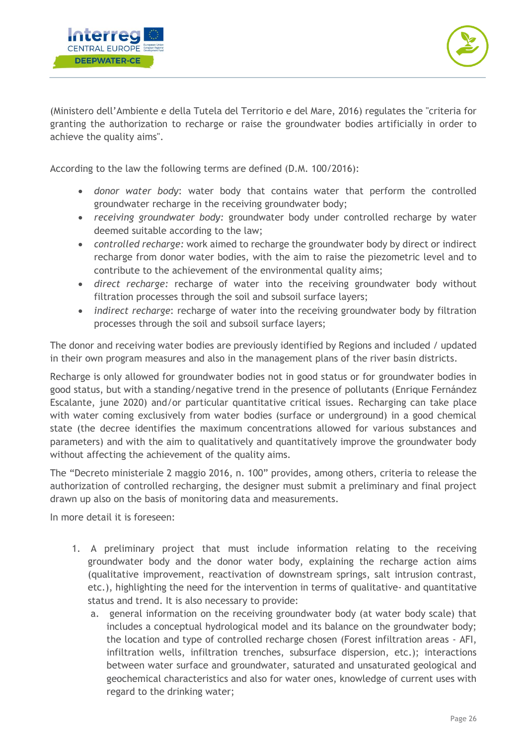



(Ministero dell'Ambiente e della Tutela del Territorio e del Mare, 2016) regulates the "criteria for granting the authorization to recharge or raise the groundwater bodies artificially in order to achieve the quality aims".

According to the law the following terms are defined (D.M. 100/2016):

- *donor water body*: water body that contains water that perform the controlled groundwater recharge in the receiving groundwater body;
- *receiving groundwater body:* groundwater body under controlled recharge by water deemed suitable according to the law;
- *controlled recharge:* work aimed to recharge the groundwater body by direct or indirect recharge from donor water bodies, with the aim to raise the piezometric level and to contribute to the achievement of the environmental quality aims;
- *direct recharge:* recharge of water into the receiving groundwater body without filtration processes through the soil and subsoil surface layers;
- *indirect recharge*: recharge of water into the receiving groundwater body by filtration processes through the soil and subsoil surface layers;

The donor and receiving water bodies are previously identified by Regions and included / updated in their own program measures and also in the management plans of the river basin districts.

Recharge is only allowed for groundwater bodies not in good status or for groundwater bodies in good status, but with a standing/negative trend in the presence of pollutants (Enrique Fernández Escalante, june 2020) and/or particular quantitative critical issues. Recharging can take place with water coming exclusively from water bodies (surface or underground) in a good chemical state (the decree identifies the maximum concentrations allowed for various substances and parameters) and with the aim to qualitatively and quantitatively improve the groundwater body without affecting the achievement of the quality aims.

The "Decreto ministeriale 2 maggio 2016, n. 100" provides, among others, criteria to release the authorization of controlled recharging, the designer must submit a preliminary and final project drawn up also on the basis of monitoring data and measurements.

In more detail it is foreseen:

- 1. A preliminary project that must include information relating to the receiving groundwater body and the donor water body, explaining the recharge action aims (qualitative improvement, reactivation of downstream springs, salt intrusion contrast, etc.), highlighting the need for the intervention in terms of qualitative- and quantitative status and trend. It is also necessary to provide:
	- a. general information on the receiving groundwater body (at water body scale) that includes a conceptual hydrological model and its balance on the groundwater body; the location and type of controlled recharge chosen (Forest infiltration areas - AFI, infiltration wells, infiltration trenches, subsurface dispersion, etc.); interactions between water surface and groundwater, saturated and unsaturated geological and geochemical characteristics and also for water ones, knowledge of current uses with regard to the drinking water;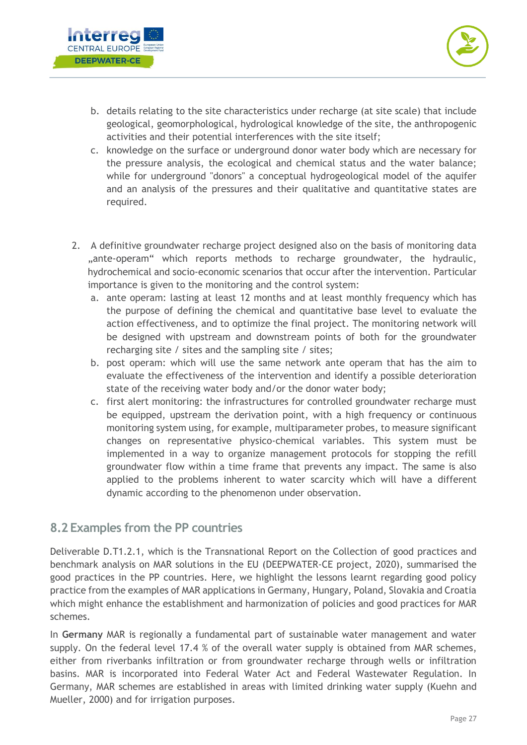



- b. details relating to the site characteristics under recharge (at site scale) that include geological, geomorphological, hydrological knowledge of the site, the anthropogenic activities and their potential interferences with the site itself;
- c. knowledge on the surface or underground donor water body which are necessary for the pressure analysis, the ecological and chemical status and the water balance; while for underground "donors" a conceptual hydrogeological model of the aquifer and an analysis of the pressures and their qualitative and quantitative states are required.
- 2. A definitive groundwater recharge project designed also on the basis of monitoring data ",ante-operam" which reports methods to recharge groundwater, the hydraulic, hydrochemical and socio-economic scenarios that occur after the intervention. Particular importance is given to the monitoring and the control system:
	- a. ante operam: lasting at least 12 months and at least monthly frequency which has the purpose of defining the chemical and quantitative base level to evaluate the action effectiveness, and to optimize the final project. The monitoring network will be designed with upstream and downstream points of both for the groundwater recharging site / sites and the sampling site / sites;
	- b. post operam: which will use the same network ante operam that has the aim to evaluate the effectiveness of the intervention and identify a possible deterioration state of the receiving water body and/or the donor water body;
	- c. first alert monitoring: the infrastructures for controlled groundwater recharge must be equipped, upstream the derivation point, with a high frequency or continuous monitoring system using, for example, multiparameter probes, to measure significant changes on representative physico-chemical variables. This system must be implemented in a way to organize management protocols for stopping the refill groundwater flow within a time frame that prevents any impact. The same is also applied to the problems inherent to water scarcity which will have a different dynamic according to the phenomenon under observation.

#### <span id="page-27-0"></span>**8.2 Examples from the PP countries**

Deliverable D.T1.2.1, which is the Transnational Report on the Collection of good practices and benchmark analysis on MAR solutions in the EU (DEEPWATER-CE project, 2020), summarised the good practices in the PP countries. Here, we highlight the lessons learnt regarding good policy practice from the examples of MAR applications in Germany, Hungary, Poland, Slovakia and Croatia which might enhance the establishment and harmonization of policies and good practices for MAR schemes.

In **Germany** MAR is regionally a fundamental part of sustainable water management and water supply. On the federal level 17.4 % of the overall water supply is obtained from MAR schemes, either from riverbanks infiltration or from groundwater recharge through wells or infiltration basins. MAR is incorporated into Federal Water Act and Federal Wastewater Regulation. In Germany, MAR schemes are established in areas with limited drinking water supply (Kuehn and Mueller, 2000) and for irrigation purposes.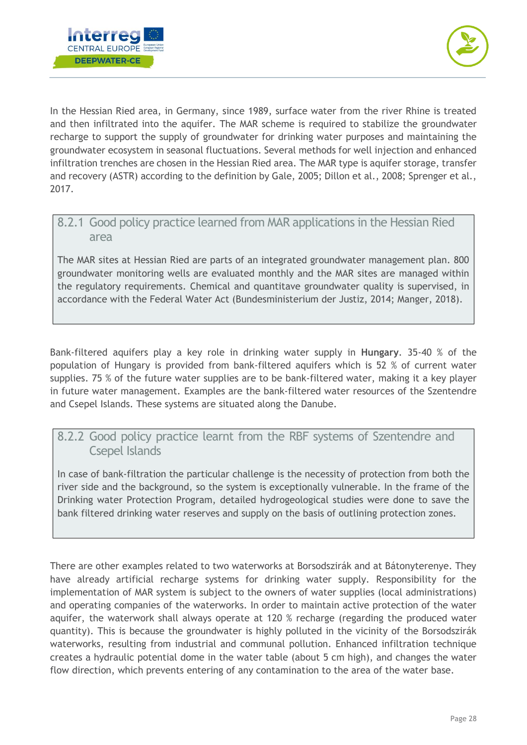



In the Hessian Ried area, in Germany, since 1989, surface water from the river Rhine is treated and then infiltrated into the aquifer. The MAR scheme is required to stabilize the groundwater recharge to support the supply of groundwater for drinking water purposes and maintaining the groundwater ecosystem in seasonal fluctuations. Several methods for well injection and enhanced infiltration trenches are chosen in the Hessian Ried area. The MAR type is aquifer storage, transfer and recovery (ASTR) according to the definition by Gale, 2005; Dillon et al., 2008; Sprenger et al., 2017.

#### <span id="page-28-0"></span>8.2.1 Good policy practice learned from MAR applications in the Hessian Ried area

The MAR sites at Hessian Ried are parts of an integrated groundwater management plan. 800 groundwater monitoring wells are evaluated monthly and the MAR sites are managed within the regulatory requirements. Chemical and quantitave groundwater quality is supervised, in accordance with the Federal Water Act (Bundesministerium der Justiz, 2014; Manger, 2018).

Bank-filtered aquifers play a key role in drinking water supply in **Hungary**. 35-40 % of the population of Hungary is provided from bank-filtered aquifers which is 52 % of current water supplies. 75 % of the future water supplies are to be bank-filtered water, making it a key player in future water management. Examples are the bank-filtered water resources of the Szentendre and Csepel Islands. These systems are situated along the Danube.

#### <span id="page-28-1"></span>8.2.2 Good policy practice learnt from the RBF systems of Szentendre and Csepel Islands

In case of bank-filtration the particular challenge is the necessity of protection from both the river side and the background, so the system is exceptionally vulnerable. In the frame of the Drinking water Protection Program, detailed hydrogeological studies were done to save the bank filtered drinking water reserves and supply on the basis of outlining protection zones.

There are other examples related to two waterworks at Borsodszirák and at Bátonyterenye. They have already artificial recharge systems for drinking water supply. Responsibility for the implementation of MAR system is subject to the owners of water supplies (local administrations) and operating companies of the waterworks. In order to maintain active protection of the water aquifer, the waterwork shall always operate at 120 % recharge (regarding the produced water quantity). This is because the groundwater is highly polluted in the vicinity of the Borsodszirák waterworks, resulting from industrial and communal pollution. Enhanced infiltration technique creates a hydraulic potential dome in the water table (about 5 cm high), and changes the water flow direction, which prevents entering of any contamination to the area of the water base.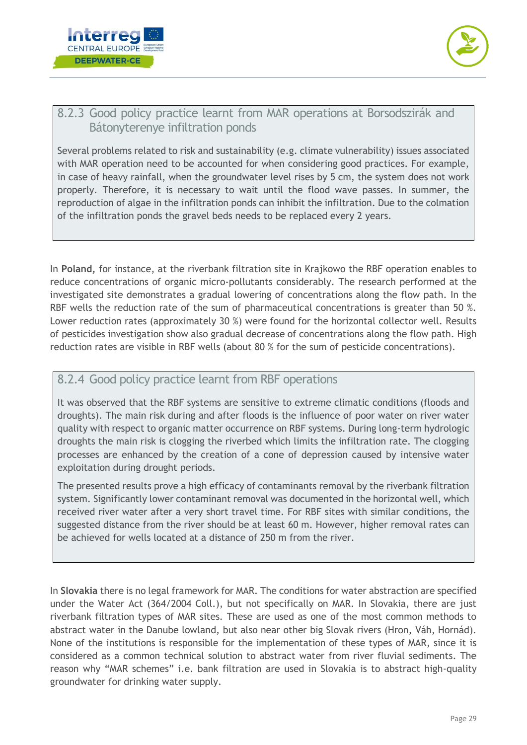



#### <span id="page-29-0"></span>8.2.3 Good policy practice learnt from MAR operations at Borsodszirák and Bátonyterenye infiltration ponds

Several problems related to risk and sustainability (e.g. climate vulnerability) issues associated with MAR operation need to be accounted for when considering good practices. For example, in case of heavy rainfall, when the groundwater level rises by 5 cm, the system does not work properly. Therefore, it is necessary to wait until the flood wave passes. In summer, the reproduction of algae in the infiltration ponds can inhibit the infiltration. Due to the colmation of the infiltration ponds the gravel beds needs to be replaced every 2 years.

In **Poland,** for instance, at the riverbank filtration site in Krajkowo the RBF operation enables to reduce concentrations of organic micro-pollutants considerably. The research performed at the investigated site demonstrates a gradual lowering of concentrations along the flow path. In the RBF wells the reduction rate of the sum of pharmaceutical concentrations is greater than 50 %. Lower reduction rates (approximately 30 %) were found for the horizontal collector well. Results of pesticides investigation show also gradual decrease of concentrations along the flow path. High reduction rates are visible in RBF wells (about 80 % for the sum of pesticide concentrations).

#### <span id="page-29-1"></span>8.2.4 Good policy practice learnt from RBF operations

It was observed that the RBF systems are sensitive to extreme climatic conditions (floods and droughts). The main risk during and after floods is the influence of poor water on river water quality with respect to organic matter occurrence on RBF systems. During long-term hydrologic droughts the main risk is clogging the riverbed which limits the infiltration rate. The clogging processes are enhanced by the creation of a cone of depression caused by intensive water exploitation during drought periods.

The presented results prove a high efficacy of contaminants removal by the riverbank filtration system. Significantly lower contaminant removal was documented in the horizontal well, which received river water after a very short travel time. For RBF sites with similar conditions, the suggested distance from the river should be at least 60 m. However, higher removal rates can be achieved for wells located at a distance of 250 m from the river.

In **Slovakia** there is no legal framework for MAR. The conditions for water abstraction are specified under the Water Act (364/2004 Coll.), but not specifically on MAR. In Slovakia, there are just riverbank filtration types of MAR sites. These are used as one of the most common methods to abstract water in the Danube lowland, but also near other big Slovak rivers (Hron, Váh, Hornád). None of the institutions is responsible for the implementation of these types of MAR, since it is considered as a common technical solution to abstract water from river fluvial sediments. The reason why "MAR schemes" i.e. bank filtration are used in Slovakia is to abstract high-quality groundwater for drinking water supply.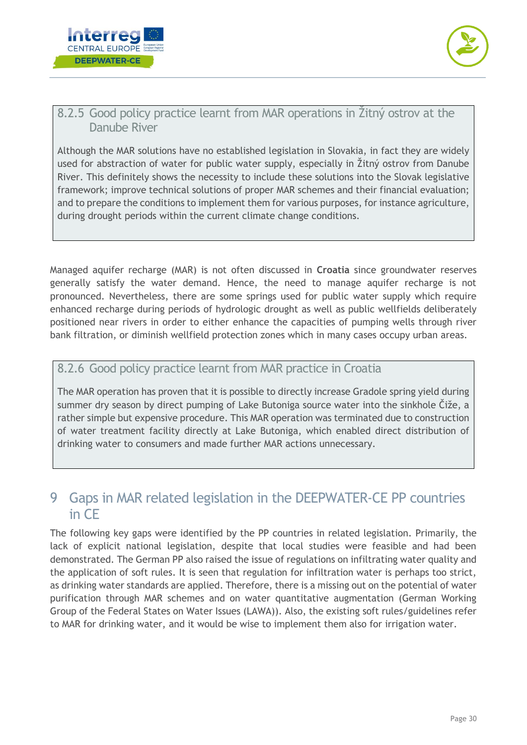



#### <span id="page-30-0"></span>8.2.5 Good policy practice learnt from MAR operations in Žitný ostrov at the Danube River

Although the MAR solutions have no established legislation in Slovakia, in fact they are widely used for abstraction of water for public water supply, especially in Žitný ostrov from Danube River. This definitely shows the necessity to include these solutions into the Slovak legislative framework; improve technical solutions of proper MAR schemes and their financial evaluation; and to prepare the conditions to implement them for various purposes, for instance agriculture, during drought periods within the current climate change conditions.

Managed aquifer recharge (MAR) is not often discussed in **Croatia** since groundwater reserves generally satisfy the water demand. Hence, the need to manage aquifer recharge is not pronounced. Nevertheless, there are some springs used for public water supply which require enhanced recharge during periods of hydrologic drought as well as public wellfields deliberately positioned near rivers in order to either enhance the capacities of pumping wells through river bank filtration, or diminish wellfield protection zones which in many cases occupy urban areas.

#### <span id="page-30-1"></span>8.2.6 Good policy practice learnt from MAR practice in Croatia

The MAR operation has proven that it is possible to directly increase Gradole spring yield during summer dry season by direct pumping of Lake Butoniga source water into the sinkhole Čiže, a rather simple but expensive procedure. This MAR operation was terminated due to construction of water treatment facility directly at Lake Butoniga, which enabled direct distribution of drinking water to consumers and made further MAR actions unnecessary.

### <span id="page-30-2"></span>9 Gaps in MAR related legislation in the DEEPWATER-CE PP countries in CE

The following key gaps were identified by the PP countries in related legislation. Primarily, the lack of explicit national legislation, despite that local studies were feasible and had been demonstrated. The German PP also raised the issue of regulations on infiltrating water quality and the application of soft rules. It is seen that regulation for infiltration water is perhaps too strict, as drinking water standards are applied. Therefore, there is a missing out on the potential of water purification through MAR schemes and on water quantitative augmentation (German Working Group of the Federal States on Water Issues (LAWA)). Also, the existing soft rules/guidelines refer to MAR for drinking water, and it would be wise to implement them also for irrigation water.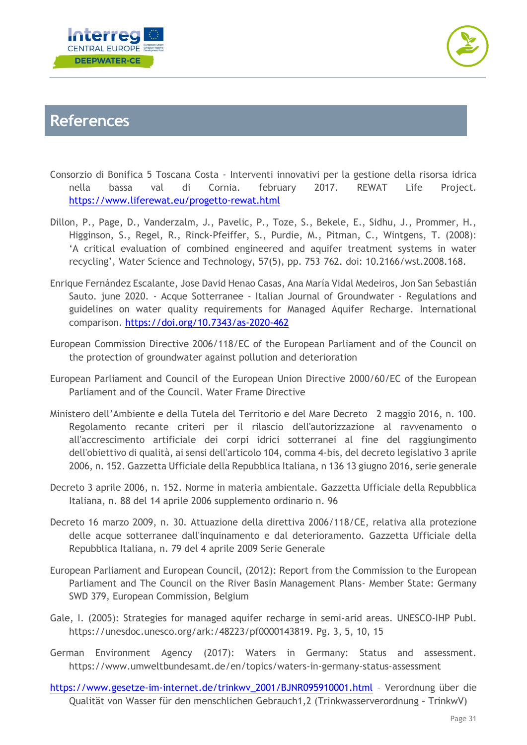



# <span id="page-31-0"></span>**References**

- Consorzio di Bonifica 5 Toscana Costa Interventi innovativi per la gestione della risorsa idrica nella bassa val di Cornia. february 2017. REWAT Life Project. <https://www.liferewat.eu/progetto-rewat.html>
- Dillon, P., Page, D., Vanderzalm, J., Pavelic, P., Toze, S., Bekele, E., Sidhu, J., Prommer, H., Higginson, S., Regel, R., Rinck-Pfeiffer, S., Purdie, M., Pitman, C., Wintgens, T. (2008): 'A critical evaluation of combined engineered and aquifer treatment systems in water recycling', Water Science and Technology, 57(5), pp. 753–762. doi: 10.2166/wst.2008.168.
- Enrique Fernández Escalante, Jose David Henao Casas, Ana María Vidal Medeiros, Jon San Sebastián Sauto. june 2020. - Acque Sotterranee - Italian Journal of Groundwater - Regulations and guidelines on water quality requirements for Managed Aquifer Recharge. International comparison. <https://doi.org/10.7343/as-2020-462>
- European Commission Directive 2006/118/EC of the European Parliament and of the Council on the protection of groundwater against pollution and deterioration
- European Parliament and Council of the European Union Directive 2000/60/EC of the European Parliament and of the Council. Water Frame Directive
- Ministero dell'Ambiente e della Tutela del Territorio e del Mare Decreto 2 maggio 2016, n. 100. Regolamento recante criteri per il rilascio dell'autorizzazione al ravvenamento o all'accrescimento artificiale dei corpi idrici sotterranei al fine del raggiungimento dell'obiettivo di qualità, ai sensi dell'articolo 104, comma 4-bis, del decreto legislativo 3 aprile 2006, n. 152. Gazzetta Ufficiale della Repubblica Italiana, n 136 13 giugno 2016, serie generale
- Decreto 3 aprile 2006, n. 152. Norme in materia ambientale. Gazzetta Ufficiale della Repubblica Italiana, n. 88 del 14 aprile 2006 supplemento ordinario n. 96
- Decreto 16 marzo 2009, n. 30. Attuazione della direttiva 2006/118/CE, relativa alla protezione delle acque sotterranee dall'inquinamento e dal deterioramento. Gazzetta Ufficiale della Repubblica Italiana, n. 79 del 4 aprile 2009 Serie Generale
- European Parliament and European Council, (2012): Report from the Commission to the European Parliament and The Council on the River Basin Management Plans- Member State: Germany SWD 379, European Commission, Belgium
- Gale, I. (2005): Strategies for managed aquifer recharge in semi-arid areas. UNESCO-IHP Publ. [https://unesdoc.unesco.org/ark:/48223/pf0000143819.](https://unesdoc.unesco.org/ark:/48223/pf0000143819) Pg. 3, 5, 10, 15
- German Environment Agency (2017): Waters in Germany: Status and assessment. https://www.umweltbundesamt.de/en/topics/waters-in-germany-status-assessment
- [https://www.gesetze-im-internet.de/trinkwv\\_2001/BJNR095910001.html](https://www.gesetze-im-internet.de/trinkwv_2001/BJNR095910001.html) Verordnung über die Qualität von Wasser für den menschlichen Gebrauch1,2 (Trinkwasserverordnung – TrinkwV)